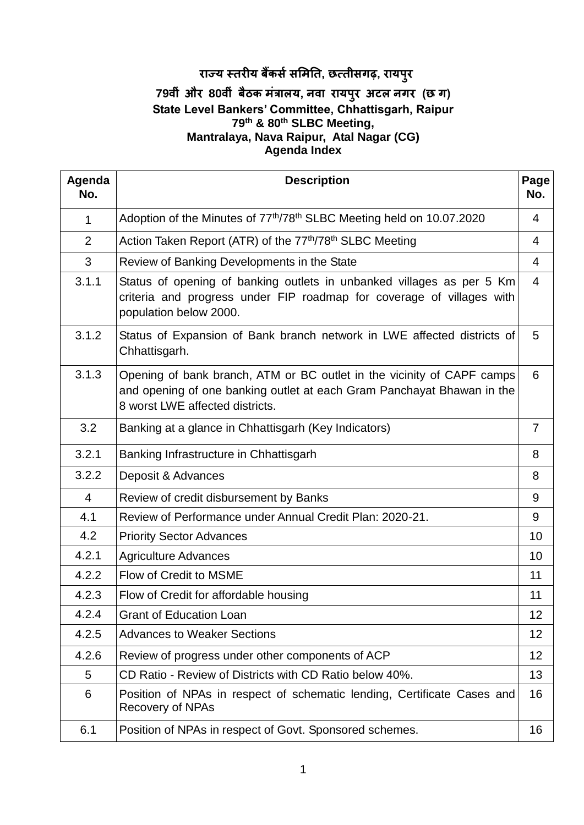# **राज्य स्तरीय बैंकर्सर्मितत, छत्तीर्गढ़, रायपुर**

### **79वीीं और 80वीीं बैठक िींत्रालय, नवा रायपुर अटल नगर (छ ग) State Level Bankers' Committee, Chhattisgarh, Raipur 79th & 80th SLBC Meeting, Mantralaya, Nava Raipur, Atal Nagar (CG) Agenda Index**

| Agenda<br>No.  | <b>Description</b>                                                                                                                                                                  |                |  |  |  |
|----------------|-------------------------------------------------------------------------------------------------------------------------------------------------------------------------------------|----------------|--|--|--|
| 1              | Adoption of the Minutes of 77 <sup>th</sup> /78 <sup>th</sup> SLBC Meeting held on 10.07.2020                                                                                       | 4              |  |  |  |
| 2              | Action Taken Report (ATR) of the 77 <sup>th</sup> /78 <sup>th</sup> SLBC Meeting                                                                                                    | 4              |  |  |  |
| 3              | Review of Banking Developments in the State                                                                                                                                         | 4              |  |  |  |
| 3.1.1          | Status of opening of banking outlets in unbanked villages as per 5 Km<br>criteria and progress under FIP roadmap for coverage of villages with<br>population below 2000.            | $\overline{4}$ |  |  |  |
| 3.1.2          | Status of Expansion of Bank branch network in LWE affected districts of<br>Chhattisgarh.                                                                                            | 5              |  |  |  |
| 3.1.3          | Opening of bank branch, ATM or BC outlet in the vicinity of CAPF camps<br>and opening of one banking outlet at each Gram Panchayat Bhawan in the<br>8 worst LWE affected districts. | 6              |  |  |  |
| 3.2            | Banking at a glance in Chhattisgarh (Key Indicators)                                                                                                                                | $\overline{7}$ |  |  |  |
| 3.2.1          | Banking Infrastructure in Chhattisgarh                                                                                                                                              | 8              |  |  |  |
| 3.2.2          | Deposit & Advances                                                                                                                                                                  | 8              |  |  |  |
| $\overline{4}$ | Review of credit disbursement by Banks                                                                                                                                              | 9              |  |  |  |
| 4.1            | Review of Performance under Annual Credit Plan: 2020-21.                                                                                                                            | 9              |  |  |  |
| 4.2            | <b>Priority Sector Advances</b>                                                                                                                                                     | 10             |  |  |  |
| 4.2.1          | <b>Agriculture Advances</b>                                                                                                                                                         | 10             |  |  |  |
| 4.2.2          | Flow of Credit to MSME                                                                                                                                                              | 11             |  |  |  |
| 4.2.3          | Flow of Credit for affordable housing                                                                                                                                               | 11             |  |  |  |
| 4.2.4          | <b>Grant of Education Loan</b>                                                                                                                                                      | 12             |  |  |  |
| 4.2.5          | <b>Advances to Weaker Sections</b>                                                                                                                                                  | 12             |  |  |  |
| 4.2.6          | Review of progress under other components of ACP                                                                                                                                    | 12             |  |  |  |
| 5              | CD Ratio - Review of Districts with CD Ratio below 40%.                                                                                                                             | 13             |  |  |  |
| 6              | Position of NPAs in respect of schematic lending, Certificate Cases and<br><b>Recovery of NPAs</b>                                                                                  | 16             |  |  |  |
| 6.1            | Position of NPAs in respect of Govt. Sponsored schemes.                                                                                                                             | 16             |  |  |  |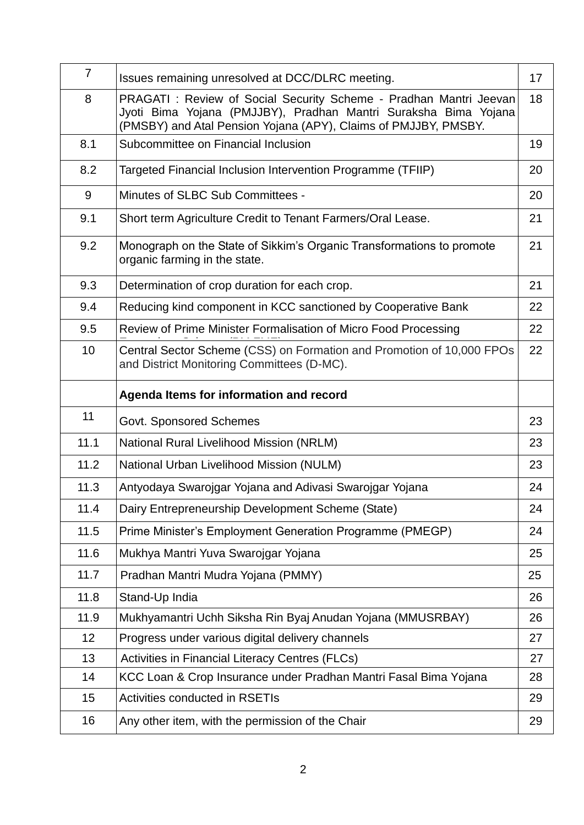| $\overline{7}$ | Issues remaining unresolved at DCC/DLRC meeting.                                                                                                                                                         | 17 |
|----------------|----------------------------------------------------------------------------------------------------------------------------------------------------------------------------------------------------------|----|
| 8              | PRAGATI : Review of Social Security Scheme - Pradhan Mantri Jeevan<br>Jyoti Bima Yojana (PMJJBY), Pradhan Mantri Suraksha Bima Yojana<br>(PMSBY) and Atal Pension Yojana (APY), Claims of PMJJBY, PMSBY. | 18 |
| 8.1            | Subcommittee on Financial Inclusion                                                                                                                                                                      | 19 |
| 8.2            | Targeted Financial Inclusion Intervention Programme (TFIIP)                                                                                                                                              | 20 |
| 9              | Minutes of SLBC Sub Committees -                                                                                                                                                                         | 20 |
| 9.1            | Short term Agriculture Credit to Tenant Farmers/Oral Lease.                                                                                                                                              | 21 |
| 9.2            | Monograph on the State of Sikkim's Organic Transformations to promote<br>organic farming in the state.                                                                                                   | 21 |
| 9.3            | Determination of crop duration for each crop.                                                                                                                                                            | 21 |
| 9.4            | Reducing kind component in KCC sanctioned by Cooperative Bank                                                                                                                                            | 22 |
| 9.5            | Review of Prime Minister Formalisation of Micro Food Processing                                                                                                                                          | 22 |
| 10             | Central Sector Scheme (CSS) on Formation and Promotion of 10,000 FPOs<br>and District Monitoring Committees (D-MC).                                                                                      | 22 |
|                | Agenda Items for information and record                                                                                                                                                                  |    |
| 11             | Govt. Sponsored Schemes                                                                                                                                                                                  | 23 |
| 11.1           | National Rural Livelihood Mission (NRLM)                                                                                                                                                                 | 23 |
| 11.2           | National Urban Livelihood Mission (NULM)                                                                                                                                                                 | 23 |
| 11.3           | Antyodaya Swarojgar Yojana and Adivasi Swarojgar Yojana                                                                                                                                                  | 24 |
| 11.4           | Dairy Entrepreneurship Development Scheme (State)                                                                                                                                                        | 24 |
| 11.5           | Prime Minister's Employment Generation Programme (PMEGP)                                                                                                                                                 | 24 |
| 11.6           | Mukhya Mantri Yuva Swarojgar Yojana                                                                                                                                                                      | 25 |
| 11.7           | Pradhan Mantri Mudra Yojana (PMMY)                                                                                                                                                                       | 25 |
| 11.8           | Stand-Up India                                                                                                                                                                                           | 26 |
| 11.9           | Mukhyamantri Uchh Siksha Rin Byaj Anudan Yojana (MMUSRBAY)                                                                                                                                               | 26 |
| 12             | Progress under various digital delivery channels                                                                                                                                                         | 27 |
| 13             | <b>Activities in Financial Literacy Centres (FLCs)</b>                                                                                                                                                   | 27 |
| 14             | KCC Loan & Crop Insurance under Pradhan Mantri Fasal Bima Yojana                                                                                                                                         | 28 |
| 15             | <b>Activities conducted in RSETIs</b>                                                                                                                                                                    | 29 |
| 16             | Any other item, with the permission of the Chair                                                                                                                                                         | 29 |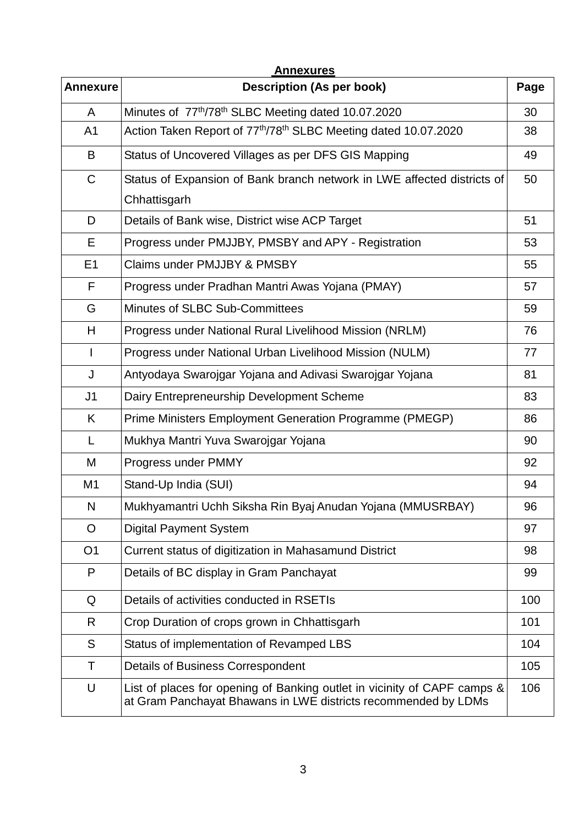| <b>Annexures</b> |                                                                                                                                            |      |  |  |  |  |
|------------------|--------------------------------------------------------------------------------------------------------------------------------------------|------|--|--|--|--|
| <b>Annexure</b>  | <b>Description (As per book)</b>                                                                                                           | Page |  |  |  |  |
| A                | Minutes of 77 <sup>th</sup> /78 <sup>th</sup> SLBC Meeting dated 10.07.2020                                                                | 30   |  |  |  |  |
| A <sub>1</sub>   | Action Taken Report of 77 <sup>th</sup> /78 <sup>th</sup> SLBC Meeting dated 10.07.2020                                                    | 38   |  |  |  |  |
| B                | Status of Uncovered Villages as per DFS GIS Mapping                                                                                        | 49   |  |  |  |  |
| $\mathsf C$      | Status of Expansion of Bank branch network in LWE affected districts of                                                                    | 50   |  |  |  |  |
|                  | Chhattisgarh                                                                                                                               |      |  |  |  |  |
| D                | Details of Bank wise, District wise ACP Target                                                                                             | 51   |  |  |  |  |
| Е                | Progress under PMJJBY, PMSBY and APY - Registration                                                                                        | 53   |  |  |  |  |
| E <sub>1</sub>   | Claims under PMJJBY & PMSBY                                                                                                                | 55   |  |  |  |  |
| F                | Progress under Pradhan Mantri Awas Yojana (PMAY)                                                                                           | 57   |  |  |  |  |
| G                | Minutes of SLBC Sub-Committees                                                                                                             | 59   |  |  |  |  |
| H                | Progress under National Rural Livelihood Mission (NRLM)                                                                                    | 76   |  |  |  |  |
| ı                | Progress under National Urban Livelihood Mission (NULM)                                                                                    | 77   |  |  |  |  |
| J                | Antyodaya Swarojgar Yojana and Adivasi Swarojgar Yojana                                                                                    | 81   |  |  |  |  |
| J <sub>1</sub>   | Dairy Entrepreneurship Development Scheme                                                                                                  | 83   |  |  |  |  |
| K                | Prime Ministers Employment Generation Programme (PMEGP)                                                                                    | 86   |  |  |  |  |
| L                | Mukhya Mantri Yuva Swarojgar Yojana                                                                                                        | 90   |  |  |  |  |
| M                | Progress under PMMY                                                                                                                        | 92   |  |  |  |  |
| M <sub>1</sub>   | Stand-Up India (SUI)                                                                                                                       | 94   |  |  |  |  |
| N                | Mukhyamantri Uchh Siksha Rin Byaj Anudan Yojana (MMUSRBAY)                                                                                 | 96   |  |  |  |  |
| O                | <b>Digital Payment System</b>                                                                                                              | 97   |  |  |  |  |
| O <sub>1</sub>   | Current status of digitization in Mahasamund District                                                                                      | 98   |  |  |  |  |
| P                | Details of BC display in Gram Panchayat                                                                                                    | 99   |  |  |  |  |
| Q                | Details of activities conducted in RSETIs                                                                                                  | 100  |  |  |  |  |
| R                | Crop Duration of crops grown in Chhattisgarh                                                                                               | 101  |  |  |  |  |
| S                | Status of implementation of Revamped LBS                                                                                                   | 104  |  |  |  |  |
| Τ                | <b>Details of Business Correspondent</b>                                                                                                   | 105  |  |  |  |  |
| U                | List of places for opening of Banking outlet in vicinity of CAPF camps &<br>at Gram Panchayat Bhawans in LWE districts recommended by LDMs | 106  |  |  |  |  |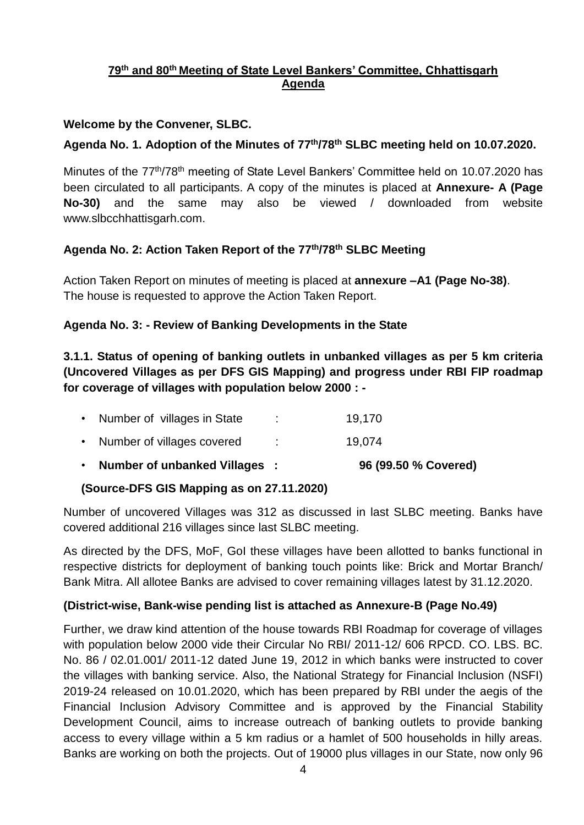### **79th and 80th Meeting of State Level Bankers' Committee, Chhattisgarh Agenda**

### **Welcome by the Convener, SLBC.**

### **Agenda No. 1. Adoption of the Minutes of 77 th/78 th SLBC meeting held on 10.07.2020.**

Minutes of the 77<sup>th</sup>/78<sup>th</sup> meeting of State Level Bankers' Committee held on 10.07.2020 has been circulated to all participants. A copy of the minutes is placed at **Annexure- A (Page No-30)** and the same may also be viewed / downloaded from website www.slbcchhattisgarh.com.

### **Agenda No. 2: Action Taken Report of the 77 th/78th SLBC Meeting**

Action Taken Report on minutes of meeting is placed at **annexure –A1 (Page No-38)**. The house is requested to approve the Action Taken Report.

### **Agenda No. 3: - Review of Banking Developments in the State**

**3.1.1. Status of opening of banking outlets in unbanked villages as per 5 km criteria (Uncovered Villages as per DFS GIS Mapping) and progress under RBI FIP roadmap for coverage of villages with population below 2000 : -**

| • Number of unbanked Villages: |    | 96 (99.50 % Covered) |
|--------------------------------|----|----------------------|
| • Number of villages covered   |    | 19.074               |
| • Number of villages in State  | л. | 19.170               |

### **(Source-DFS GIS Mapping as on 27.11.2020)**

Number of uncovered Villages was 312 as discussed in last SLBC meeting. Banks have covered additional 216 villages since last SLBC meeting.

As directed by the DFS, MoF, GoI these villages have been allotted to banks functional in respective districts for deployment of banking touch points like: Brick and Mortar Branch/ Bank Mitra. All allotee Banks are advised to cover remaining villages latest by 31.12.2020.

### **(District-wise, Bank-wise pending list is attached as Annexure-B (Page No.49)**

Further, we draw kind attention of the house towards RBI Roadmap for coverage of villages with population below 2000 vide their Circular No RBI/ 2011-12/ 606 RPCD. CO. LBS. BC. No. 86 / 02.01.001/ 2011-12 dated June 19, 2012 in which banks were instructed to cover the villages with banking service. Also, the National Strategy for Financial Inclusion (NSFI) 2019-24 released on 10.01.2020, which has been prepared by RBI under the aegis of the Financial Inclusion Advisory Committee and is approved by the Financial Stability Development Council, aims to increase outreach of banking outlets to provide banking access to every village within a 5 km radius or a hamlet of 500 households in hilly areas. Banks are working on both the projects. Out of 19000 plus villages in our State, now only 96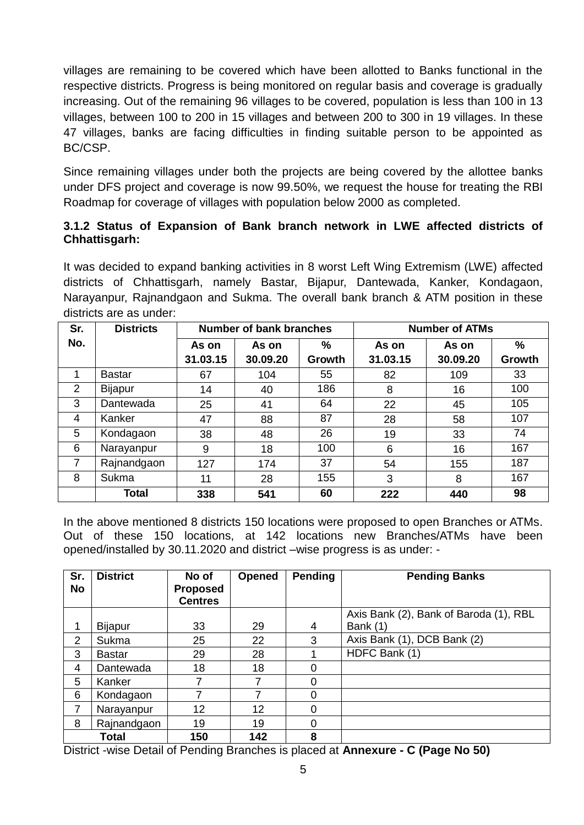villages are remaining to be covered which have been allotted to Banks functional in the respective districts. Progress is being monitored on regular basis and coverage is gradually increasing. Out of the remaining 96 villages to be covered, population is less than 100 in 13 villages, between 100 to 200 in 15 villages and between 200 to 300 in 19 villages. In these 47 villages, banks are facing difficulties in finding suitable person to be appointed as BC/CSP.

Since remaining villages under both the projects are being covered by the allottee banks under DFS project and coverage is now 99.50%, we request the house for treating the RBI Roadmap for coverage of villages with population below 2000 as completed.

### **3.1.2 Status of Expansion of Bank branch network in LWE affected districts of Chhattisgarh:**

It was decided to expand banking activities in 8 worst Left Wing Extremism (LWE) affected districts of Chhattisgarh, namely Bastar, Bijapur, Dantewada, Kanker, Kondagaon, Narayanpur, Rajnandgaon and Sukma. The overall bank branch & ATM position in these districts are as under:

| Sr. | <b>Districts</b> | <b>Number of bank branches</b> |          |        | <b>Number of ATMs</b> |          |        |
|-----|------------------|--------------------------------|----------|--------|-----------------------|----------|--------|
| No. |                  | As on                          | As on    | %      | As on                 | As on    | %      |
|     |                  | 31.03.15                       | 30.09.20 | Growth | 31.03.15              | 30.09.20 | Growth |
| 1   | <b>Bastar</b>    | 67                             | 104      | 55     | 82                    | 109      | 33     |
| 2   | Bijapur          | 14                             | 40       | 186    | 8                     | 16       | 100    |
| 3   | Dantewada        | 25                             | 41       | 64     | 22                    | 45       | 105    |
| 4   | Kanker           | 47                             | 88       | 87     | 28                    | 58       | 107    |
| 5   | Kondagaon        | 38                             | 48       | 26     | 19                    | 33       | 74     |
| 6   | Narayanpur       | 9                              | 18       | 100    | 6                     | 16       | 167    |
| 7   | Rajnandgaon      | 127                            | 174      | 37     | 54                    | 155      | 187    |
| 8   | Sukma            | 11                             | 28       | 155    | 3                     | 8        | 167    |
|     | <b>Total</b>     | 338                            | 541      | 60     | 222                   | 440      | 98     |

In the above mentioned 8 districts 150 locations were proposed to open Branches or ATMs. Out of these 150 locations, at 142 locations new Branches/ATMs have been opened/installed by 30.11.2020 and district –wise progress is as under: -

| Sr.            | <b>District</b> | No of           | <b>Opened</b> | Pending        | <b>Pending Banks</b>                   |
|----------------|-----------------|-----------------|---------------|----------------|----------------------------------------|
| <b>No</b>      |                 | <b>Proposed</b> |               |                |                                        |
|                |                 | <b>Centres</b>  |               |                |                                        |
|                |                 |                 |               |                | Axis Bank (2), Bank of Baroda (1), RBL |
| 1              | <b>Bijapur</b>  | 33              | 29            | 4              | Bank (1)                               |
| $\overline{2}$ | Sukma           | 25              | 22            | 3              | Axis Bank (1), DCB Bank (2)            |
| 3              | <b>Bastar</b>   | 29              | 28            |                | HDFC Bank (1)                          |
| 4              | Dantewada       | 18              | 18            | $\overline{0}$ |                                        |
| 5              | Kanker          |                 | 7             | $\overline{0}$ |                                        |
| 6              | Kondagaon       | $\overline{ }$  |               | $\Omega$       |                                        |
| 7              | Narayanpur      | 12              | 12            | 0              |                                        |
| 8              | Rajnandgaon     | 19              | 19            | 0              |                                        |
|                | Total           | 150             | 142           | 8              |                                        |

District -wise Detail of Pending Branches is placed at **Annexure - C (Page No 50)**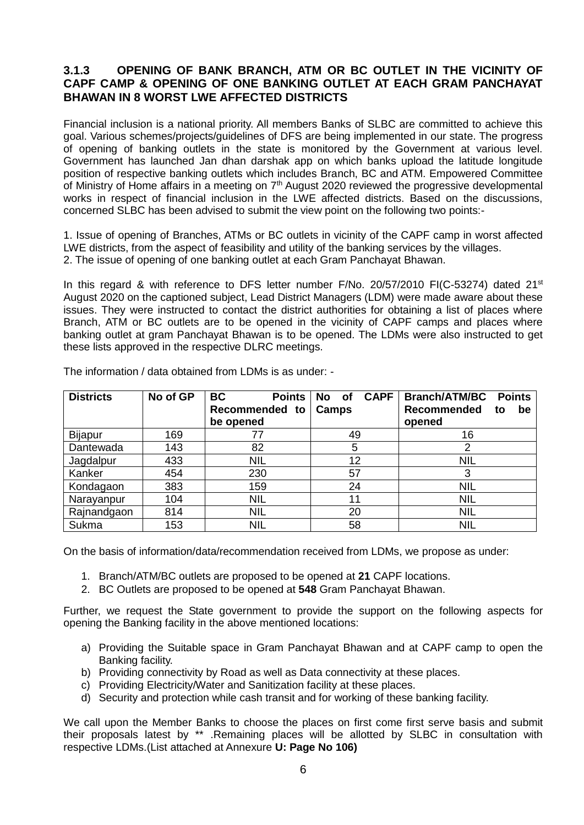#### **3.1.3 OPENING OF BANK BRANCH, ATM OR BC OUTLET IN THE VICINITY OF CAPF CAMP & OPENING OF ONE BANKING OUTLET AT EACH GRAM PANCHAYAT BHAWAN IN 8 WORST LWE AFFECTED DISTRICTS**

Financial inclusion is a national priority. All members Banks of SLBC are committed to achieve this goal. Various schemes/projects/guidelines of DFS are being implemented in our state. The progress of opening of banking outlets in the state is monitored by the Government at various level. Government has launched Jan dhan darshak app on which banks upload the latitude longitude position of respective banking outlets which includes Branch, BC and ATM. Empowered Committee of Ministry of Home affairs in a meeting on 7<sup>th</sup> August 2020 reviewed the progressive developmental works in respect of financial inclusion in the LWE affected districts. Based on the discussions, concerned SLBC has been advised to submit the view point on the following two points:-

1. Issue of opening of Branches, ATMs or BC outlets in vicinity of the CAPF camp in worst affected LWE districts, from the aspect of feasibility and utility of the banking services by the villages. 2. The issue of opening of one banking outlet at each Gram Panchayat Bhawan.

In this regard & with reference to DFS letter number F/No. 20/57/2010 FI(C-53274) dated 21<sup>st</sup> August 2020 on the captioned subject, Lead District Managers (LDM) were made aware about these issues. They were instructed to contact the district authorities for obtaining a list of places where Branch, ATM or BC outlets are to be opened in the vicinity of CAPF camps and places where banking outlet at gram Panchayat Bhawan is to be opened. The LDMs were also instructed to get these lists approved in the respective DLRC meetings.

| <b>Districts</b> | No of GP | <b>BC</b><br>Points         | <b>CAPF</b><br>No of | <b>Branch/ATM/BC</b><br><b>Points</b>    |
|------------------|----------|-----------------------------|----------------------|------------------------------------------|
|                  |          | Recommended to<br>be opened | Camps                | <b>Recommended</b><br>be<br>to<br>opened |
| <b>Bijapur</b>   | 169      | 77                          | 49                   | 16                                       |
| Dantewada        | 143      | 82                          | 5                    | 2                                        |
| Jagdalpur        | 433      | <b>NIL</b>                  | 12                   | <b>NIL</b>                               |
| Kanker           | 454      | 230                         | 57                   | 3                                        |
| Kondagaon        | 383      | 159                         | 24                   | <b>NIL</b>                               |
| Narayanpur       | 104      | <b>NIL</b>                  | 11                   | <b>NIL</b>                               |
| Rajnandgaon      | 814      | <b>NIL</b>                  | 20                   | <b>NIL</b>                               |
| Sukma            | 153      | <b>NIL</b>                  | 58                   | <b>NIL</b>                               |

The information / data obtained from LDMs is as under: -

On the basis of information/data/recommendation received from LDMs, we propose as under:

- 1. Branch/ATM/BC outlets are proposed to be opened at **21** CAPF locations.
- 2. BC Outlets are proposed to be opened at **548** Gram Panchayat Bhawan.

Further, we request the State government to provide the support on the following aspects for opening the Banking facility in the above mentioned locations:

- a) Providing the Suitable space in Gram Panchayat Bhawan and at CAPF camp to open the Banking facility.
- b) Providing connectivity by Road as well as Data connectivity at these places.
- c) Providing Electricity/Water and Sanitization facility at these places.
- d) Security and protection while cash transit and for working of these banking facility.

We call upon the Member Banks to choose the places on first come first serve basis and submit their proposals latest by \*\* .Remaining places will be allotted by SLBC in consultation with respective LDMs.(List attached at Annexure **U: Page No 106)**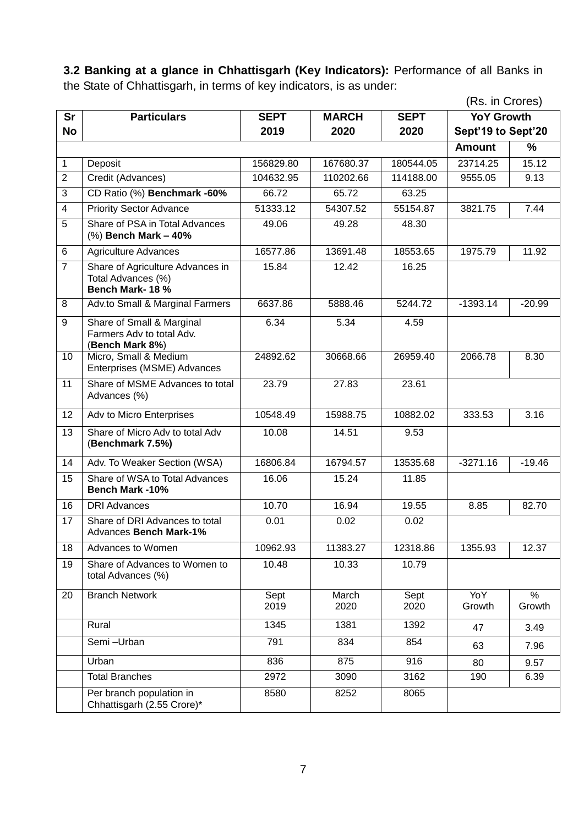**3.2 Banking at a glance in Chhattisgarh (Key Indicators):** Performance of all Banks in the State of Chhattisgarh, in terms of key indicators, is as under:

|                |                                                                           |              |               |              | (Rs. in Crores)    |                         |
|----------------|---------------------------------------------------------------------------|--------------|---------------|--------------|--------------------|-------------------------|
| <b>Sr</b>      | <b>Particulars</b>                                                        | <b>SEPT</b>  | <b>MARCH</b>  | <b>SEPT</b>  | <b>YoY Growth</b>  |                         |
| <b>No</b>      |                                                                           | 2019         | 2020          | 2020         | Sept'19 to Sept'20 |                         |
|                |                                                                           |              |               |              | <b>Amount</b>      | %                       |
| $\mathbf{1}$   | Deposit                                                                   | 156829.80    | 167680.37     | 180544.05    | 23714.25           | 15.12                   |
| $\overline{2}$ | Credit (Advances)                                                         | 104632.95    | 110202.66     | 114188.00    | 9555.05            | 9.13                    |
| 3              | CD Ratio (%) Benchmark -60%                                               | 66.72        | 65.72         | 63.25        |                    |                         |
| 4              | <b>Priority Sector Advance</b>                                            | 51333.12     | 54307.52      | 55154.87     | 3821.75            | 7.44                    |
| 5              | Share of PSA in Total Advances<br>(%) Bench Mark - 40%                    | 49.06        | 49.28         | 48.30        |                    |                         |
| 6              | <b>Agriculture Advances</b>                                               | 16577.86     | 13691.48      | 18553.65     | 1975.79            | 11.92                   |
| $\overline{7}$ | Share of Agriculture Advances in<br>Total Advances (%)<br>Bench Mark-18 % | 15.84        | 12.42         | 16.25        |                    |                         |
| 8              | Adv.to Small & Marginal Farmers                                           | 6637.86      | 5888.46       | 5244.72      | $-1393.14$         | $-20.99$                |
| 9              | Share of Small & Marginal<br>Farmers Adv to total Adv.<br>(Bench Mark 8%) | 6.34         | 5.34          | 4.59         |                    |                         |
| 10             | Micro, Small & Medium<br>Enterprises (MSME) Advances                      | 24892.62     | 30668.66      | 26959.40     | 2066.78            | 8.30                    |
| 11             | Share of MSME Advances to total<br>Advances (%)                           | 23.79        | 27.83         | 23.61        |                    |                         |
| 12             | Adv to Micro Enterprises                                                  | 10548.49     | 15988.75      | 10882.02     | 333.53             | 3.16                    |
| 13             | Share of Micro Adv to total Adv<br>(Benchmark 7.5%)                       | 10.08        | 14.51         | 9.53         |                    |                         |
| 14             | Adv. To Weaker Section (WSA)                                              | 16806.84     | 16794.57      | 13535.68     | $-3271.16$         | $-19.46$                |
| 15             | Share of WSA to Total Advances<br><b>Bench Mark-10%</b>                   | 16.06        | 15.24         | 11.85        |                    |                         |
| 16             | <b>DRI Advances</b>                                                       | 10.70        | 16.94         | 19.55        | 8.85               | 82.70                   |
| 17             | Share of DRI Advances to total<br>Advances Bench Mark-1%                  | 0.01         | 0.02          | 0.02         |                    |                         |
| 18             | Advances to Women                                                         | 10962.93     | 11383.27      | 12318.86     | 1355.93            | 12.37                   |
| 19             | Share of Advances to Women to<br>total Advances (%)                       | 10.48        | 10.33         | 10.79        |                    |                         |
| 20             | <b>Branch Network</b>                                                     | Sept<br>2019 | March<br>2020 | Sept<br>2020 | YoY<br>Growth      | $\frac{1}{2}$<br>Growth |
|                | Rural                                                                     | 1345         | 1381          | 1392         | 47                 | 3.49                    |
|                | Semi-Urban                                                                | 791          | 834           | 854          | 63                 | 7.96                    |
|                | Urban                                                                     | 836          | 875           | 916          | 80                 | 9.57                    |
|                | <b>Total Branches</b>                                                     | 2972         | 3090          | 3162         | 190                | 6.39                    |
|                | Per branch population in<br>Chhattisgarh (2.55 Crore)*                    | 8580         | 8252          | 8065         |                    |                         |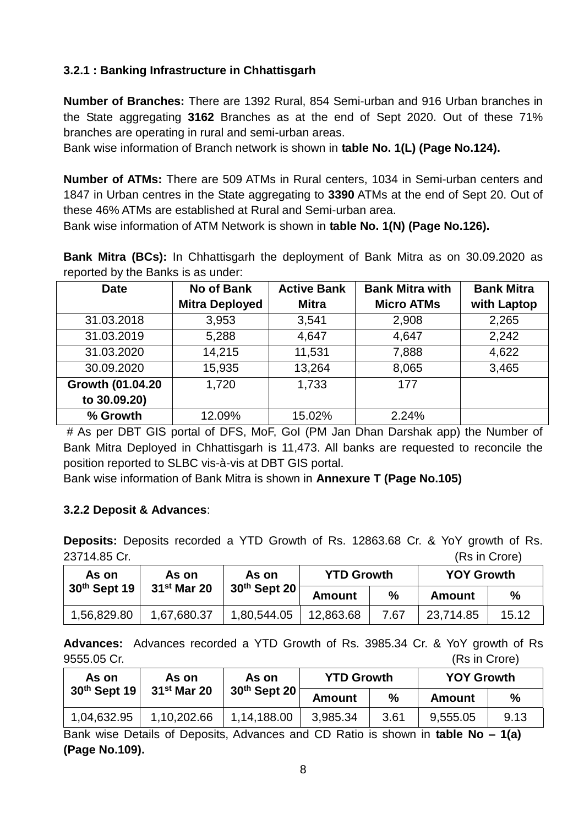### **3.2.1 : Banking Infrastructure in Chhattisgarh**

**Number of Branches:** There are 1392 Rural, 854 Semi-urban and 916 Urban branches in the State aggregating **3162** Branches as at the end of Sept 2020. Out of these 71% branches are operating in rural and semi-urban areas.

Bank wise information of Branch network is shown in **table No. 1(L) (Page No.124).**

**Number of ATMs:** There are 509 ATMs in Rural centers, 1034 in Semi-urban centers and 1847 in Urban centres in the State aggregating to **3390** ATMs at the end of Sept 20. Out of these 46% ATMs are established at Rural and Semi-urban area.

Bank wise information of ATM Network is shown in **table No. 1(N) (Page No.126).**

**Bank Mitra (BCs):** In Chhattisgarh the deployment of Bank Mitra as on 30.09.2020 as reported by the Banks is as under:

| <b>Date</b>      | No of Bank            | <b>Active Bank</b> | <b>Bank Mitra with</b> | <b>Bank Mitra</b> |
|------------------|-----------------------|--------------------|------------------------|-------------------|
|                  | <b>Mitra Deployed</b> | <b>Mitra</b>       | <b>Micro ATMs</b>      | with Laptop       |
| 31.03.2018       | 3,953                 | 3,541              | 2,908                  | 2,265             |
| 31.03.2019       | 5,288                 | 4,647              | 4,647                  | 2,242             |
| 31.03.2020       | 14,215                | 11,531             | 7,888                  | 4,622             |
| 30.09.2020       | 15,935                | 13,264             | 8,065                  | 3,465             |
| Growth (01.04.20 | 1,720                 | 1,733              | 177                    |                   |
| to 30.09.20)     |                       |                    |                        |                   |
| % Growth         | 12.09%                | 15.02%             | 2.24%                  |                   |

# As per DBT GIS portal of DFS, MoF, GoI (PM Jan Dhan Darshak app) the Number of Bank Mitra Deployed in Chhattisgarh is 11,473. All banks are requested to reconcile the position reported to SLBC vis-à-vis at DBT GIS portal.

Bank wise information of Bank Mitra is shown in **Annexure T (Page No.105)**

### **3.2.2 Deposit & Advances**:

**Deposits:** Deposits recorded a YTD Growth of Rs. 12863.68 Cr. & YoY growth of Rs. 23714.85 Cr. (Rs in Crore)

| As on        | As on         | As on          | <b>YTD Growth</b> |      | <b>YOY Growth</b> |       |
|--------------|---------------|----------------|-------------------|------|-------------------|-------|
| 30th Sept 19 | $31st$ Mar 20 | $30th$ Sept 20 | Amount            | $\%$ | Amount            | %     |
| 1,56,829.80  | 1,67,680.37   | 1,80,544.05    | 12,863.68         | 7.67 | 23,714.85         | 15.12 |

**Advances:** Advances recorded a YTD Growth of Rs. 3985.34 Cr. & YoY growth of Rs 9555.05 Cr. (Rs in Crore)

| As on          | As on         | As on          | <b>YTD Growth</b> |      | <b>YOY Growth</b> |               |
|----------------|---------------|----------------|-------------------|------|-------------------|---------------|
| $30th$ Sept 19 | $31st$ Mar 20 | $30th$ Sept 20 | <b>Amount</b>     | %    | Amount            | $\frac{0}{0}$ |
| 1,04,632.95    | 1,10,202.66   | 1,14,188.00    | 3,985.34          | 3.61 | 9,555.05          | 9.13          |

Bank wise Details of Deposits, Advances and CD Ratio is shown in **table No – 1(a) (Page No.109).**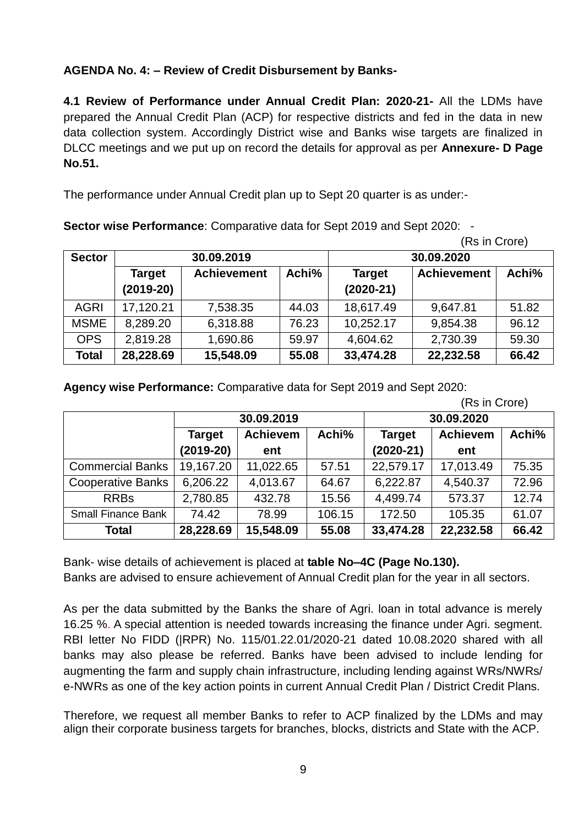### **AGENDA No. 4: – Review of Credit Disbursement by Banks-**

**4.1 Review of Performance under Annual Credit Plan: 2020-21-** All the LDMs have prepared the Annual Credit Plan (ACP) for respective districts and fed in the data in new data collection system. Accordingly District wise and Banks wise targets are finalized in DLCC meetings and we put up on record the details for approval as per **Annexure- D Page No.51.**

The performance under Annual Credit plan up to Sept 20 quarter is as under:-

**Sector wise Performance**: Comparative data for Sept 2019 and Sept 2020: -

 <sup>(</sup>Rs in Crore)

| <b>Sector</b> | 30.09.2019                   |                    |       | 30.09.2020                   |                    |       |  |
|---------------|------------------------------|--------------------|-------|------------------------------|--------------------|-------|--|
|               | <b>Target</b><br>$(2019-20)$ | <b>Achievement</b> | Achi% | <b>Target</b><br>$(2020-21)$ | <b>Achievement</b> | Achi% |  |
| <b>AGRI</b>   | 17,120.21                    | 7,538.35           | 44.03 | 18,617.49                    | 9,647.81           | 51.82 |  |
| <b>MSME</b>   | 8,289.20                     | 6,318.88           | 76.23 | 10,252.17                    | 9,854.38           | 96.12 |  |
| <b>OPS</b>    | 2,819.28                     | 1,690.86           | 59.97 | 4,604.62                     | 2,730.39           | 59.30 |  |
| <b>Total</b>  | 28,228.69                    | 15,548.09          | 55.08 | 33,474.28                    | 22,232.58          | 66.42 |  |

**Agency wise Performance:** Comparative data for Sept 2019 and Sept 2020:

|                           |                                           |           |               |                 | (Rs in Crore) |       |
|---------------------------|-------------------------------------------|-----------|---------------|-----------------|---------------|-------|
|                           | 30.09.2019                                |           |               | 30.09.2020      |               |       |
|                           | <b>Achievem</b><br>Achi%<br><b>Target</b> |           | <b>Target</b> | <b>Achievem</b> | Achi%         |       |
|                           | $(2019-20)$                               | ent       |               | $(2020-21)$     | ent           |       |
| <b>Commercial Banks</b>   | 19,167.20                                 | 11,022.65 | 57.51         | 22,579.17       | 17,013.49     | 75.35 |
| <b>Cooperative Banks</b>  | 6,206.22                                  | 4,013.67  | 64.67         | 6,222.87        | 4,540.37      | 72.96 |
| <b>RRBs</b>               | 2,780.85                                  | 432.78    | 15.56         | 4,499.74        | 573.37        | 12.74 |
| <b>Small Finance Bank</b> | 74.42                                     | 78.99     | 106.15        | 172.50          | 105.35        | 61.07 |
| <b>Total</b>              | 28,228.69                                 | 15,548.09 | 55.08         | 33,474.28       | 22,232.58     | 66.42 |

Bank- wise details of achievement is placed at **table No–4C (Page No.130).** Banks are advised to ensure achievement of Annual Credit plan for the year in all sectors.

As per the data submitted by the Banks the share of Agri. loan in total advance is merely 16.25 %. A special attention is needed towards increasing the finance under Agri. segment. RBI letter No FIDD (|RPR) No. 115/01.22.01/2020-21 dated 10.08.2020 shared with all banks may also please be referred. Banks have been advised to include lending for augmenting the farm and supply chain infrastructure, including lending against WRs/NWRs/ e-NWRs as one of the key action points in current Annual Credit Plan / District Credit Plans.

Therefore, we request all member Banks to refer to ACP finalized by the LDMs and may align their corporate business targets for branches, blocks, districts and State with the ACP.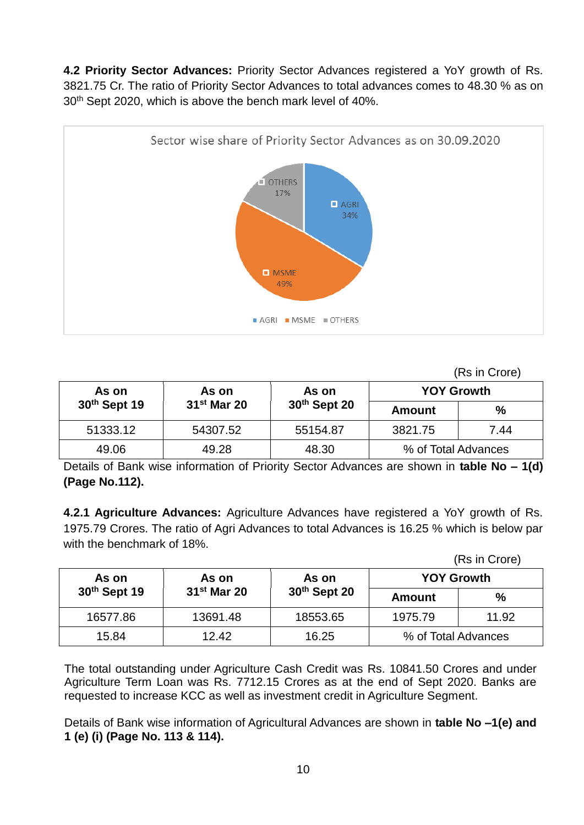**4.2 Priority Sector Advances:** Priority Sector Advances registered a YoY growth of Rs. 3821.75 Cr. The ratio of Priority Sector Advances to total advances comes to 48.30 % as on 30th Sept 2020, which is above the bench mark level of 40%.



(Rs in Crore)

| As on        | As on         | As on                    | <b>YOY Growth</b>   |      |
|--------------|---------------|--------------------------|---------------------|------|
| 30th Sept 19 | $31st$ Mar 20 | 30 <sup>th</sup> Sept 20 | Amount              | $\%$ |
| 51333.12     | 54307.52      | 55154.87                 | 3821.75             | 7.44 |
| 49.06        | 49.28         | 48.30                    | % of Total Advances |      |

Details of Bank wise information of Priority Sector Advances are shown in **table No – 1(d) (Page No.112).**

**4.2.1 Agriculture Advances:** Agriculture Advances have registered a YoY growth of Rs. 1975.79 Crores. The ratio of Agri Advances to total Advances is 16.25 % which is below par with the benchmark of 18%.

|  | (Rs in Crore) |
|--|---------------|
|--|---------------|

| As on        | As on         | As on          | <b>YOY Growth</b>   |               |
|--------------|---------------|----------------|---------------------|---------------|
| 30th Sept 19 | $31st$ Mar 20 | $30th$ Sept 20 | Amount              | $\frac{0}{0}$ |
| 16577.86     | 13691.48      | 18553.65       | 11.92<br>1975.79    |               |
| 15.84        | 12.42         | 16.25          | % of Total Advances |               |

The total outstanding under Agriculture Cash Credit was Rs. 10841.50 Crores and under Agriculture Term Loan was Rs. 7712.15 Crores as at the end of Sept 2020. Banks are requested to increase KCC as well as investment credit in Agriculture Segment.

Details of Bank wise information of Agricultural Advances are shown in **table No –1(e) and 1 (e) (i) (Page No. 113 & 114).**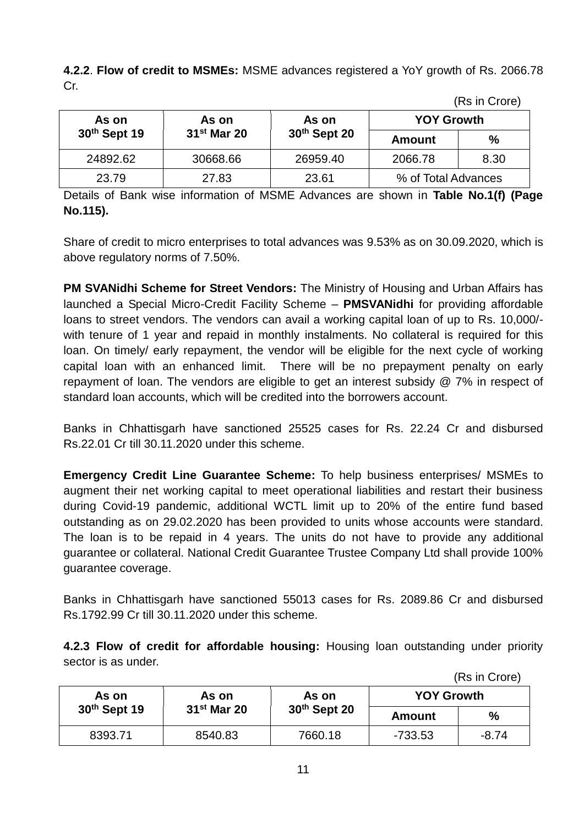**4.2.2**. **Flow of credit to MSMEs:** MSME advances registered a YoY growth of Rs. 2066.78 Cr.

| As on        | As on                   | As on          | <b>YOY Growth</b>   |               |
|--------------|-------------------------|----------------|---------------------|---------------|
| 30th Sept 19 | 31 <sup>st</sup> Mar 20 | $30th$ Sept 20 | Amount              | $\frac{0}{0}$ |
| 24892.62     | 30668.66                | 26959.40       | 2066.78             | 8.30          |
| 23.79        | 27.83                   | 23.61          | % of Total Advances |               |

(Rs in Crore)

Details of Bank wise information of MSME Advances are shown in **Table No.1(f) (Page No.115).**

Share of credit to micro enterprises to total advances was 9.53% as on 30.09.2020, which is above regulatory norms of 7.50%.

**PM SVANidhi Scheme for Street Vendors:** The Ministry of Housing and Urban Affairs has launched a Special Micro-Credit Facility Scheme – **PMSVANidhi** for providing affordable loans to street vendors. The vendors can avail a working capital loan of up to Rs. 10,000/ with tenure of 1 year and repaid in monthly instalments. No collateral is required for this loan. On timely/ early repayment, the vendor will be eligible for the next cycle of working capital loan with an enhanced limit. There will be no prepayment penalty on early repayment of loan. The vendors are eligible to get an interest subsidy @ 7% in respect of standard loan accounts, which will be credited into the borrowers account.

Banks in Chhattisgarh have sanctioned 25525 cases for Rs. 22.24 Cr and disbursed Rs.22.01 Cr till 30.11.2020 under this scheme.

**Emergency Credit Line Guarantee Scheme:** To help business enterprises/ MSMEs to augment their net working capital to meet operational liabilities and restart their business during Covid-19 pandemic, additional WCTL limit up to 20% of the entire fund based outstanding as on 29.02.2020 has been provided to units whose accounts were standard. The loan is to be repaid in 4 years. The units do not have to provide any additional guarantee or collateral. National Credit Guarantee Trustee Company Ltd shall provide 100% guarantee coverage.

Banks in Chhattisgarh have sanctioned 55013 cases for Rs. 2089.86 Cr and disbursed Rs.1792.99 Cr till 30.11.2020 under this scheme.

**4.2.3 Flow of credit for affordable housing:** Housing loan outstanding under priority sector is as under.

(Rs in Crore) **As on 30th Sept 19 As on 31st Mar 20 As on 30th Sept 20 YOY Growth Amount %** 8393.71 | 8540.83 | 7660.18 | -733.53 | -8.74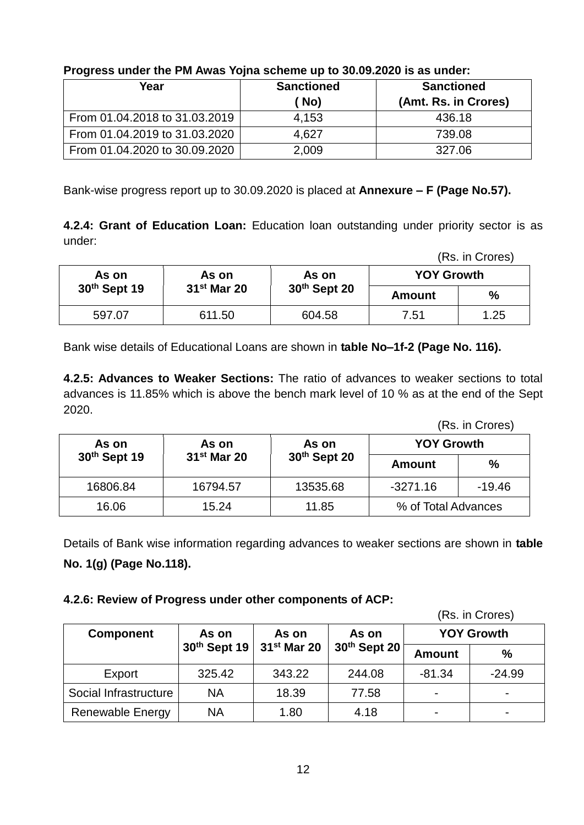| -                             |                   |                      |
|-------------------------------|-------------------|----------------------|
| Year                          | <b>Sanctioned</b> | <b>Sanctioned</b>    |
|                               | No)               | (Amt. Rs. in Crores) |
| From 01.04.2018 to 31.03.2019 | 4.153             | 436.18               |
| From 01.04.2019 to 31.03.2020 | 4.627             | 739.08               |
| From 01.04.2020 to 30.09.2020 | 2,009             | 327.06               |

#### **Progress under the PM Awas Yojna scheme up to 30.09.2020 is as under:**

Bank-wise progress report up to 30.09.2020 is placed at **Annexure – F (Page No.57).**

**4.2.4: Grant of Education Loan:** Education loan outstanding under priority sector is as under:

(Rs. in Crores)

| As on        | As on         | As on        | <b>YOY Growth</b> |      |
|--------------|---------------|--------------|-------------------|------|
| 30th Sept 19 | $31st$ Mar 20 | 30th Sept 20 | Amount            | $\%$ |
| 597.07       | 611.50        | 604.58       | 7.51              | 1.25 |

Bank wise details of Educational Loans are shown in **table No–1f-2 (Page No. 116).**

**4.2.5: Advances to Weaker Sections:** The ratio of advances to weaker sections to total advances is 11.85% which is above the bench mark level of 10 % as at the end of the Sept 2020.

(Rs. in Crores)

| As on                    | As on                   | As on        | <b>YOY Growth</b>   |          |
|--------------------------|-------------------------|--------------|---------------------|----------|
| 30 <sup>th</sup> Sept 19 | 31 <sup>st</sup> Mar 20 | 30th Sept 20 | Amount              | $\%$     |
| 16806.84                 | 16794.57                | 13535.68     | $-3271.16$          | $-19.46$ |
| 16.06                    | 15.24                   | 11.85        | % of Total Advances |          |

Details of Bank wise information regarding advances to weaker sections are shown in **table No. 1(g) (Page No.118).**

#### **4.2.6: Review of Progress under other components of ACP:**

(Rs. in Crores) **Component As on 30th Sept 19 As on 31st Mar 20 As on 30th Sept 20 YOY Growth Amount %** Export | 325.42 | 343.22 | 244.08 | -81.34 | -24.99 Social Infrastructure | NA | 18.39 | 77.58 Renewable Energy  $\vert$  NA  $\vert$  1.80  $\vert$  4.18  $\vert$  -  $\vert$  -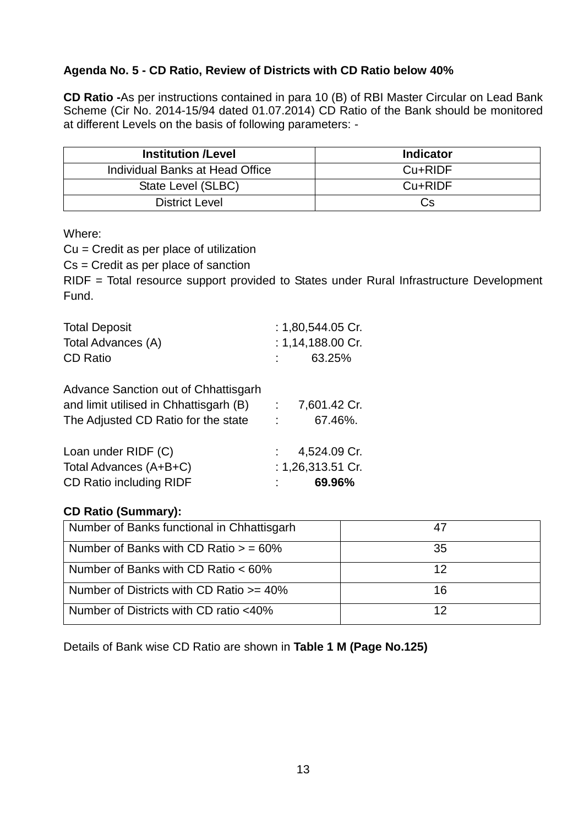### **Agenda No. 5 - CD Ratio, Review of Districts with CD Ratio below 40%**

**CD Ratio -**As per instructions contained in para 10 (B) of RBI Master Circular on Lead Bank Scheme (Cir No. 2014-15/94 dated 01.07.2014) CD Ratio of the Bank should be monitored at different Levels on the basis of following parameters: -

| <b>Institution /Level</b>       | <b>Indicator</b> |
|---------------------------------|------------------|
| Individual Banks at Head Office | Cu+RIDF          |
| State Level (SLBC)              | Cu+RIDF          |
| <b>District Level</b>           | Cs.              |

Where:

Cu = Credit as per place of utilization

Cs = Credit as per place of sanction

RIDF = Total resource support provided to States under Rural Infrastructure Development Fund.

| <b>Total Deposit</b><br>Total Advances (A)<br><b>CD Ratio</b>                                                         |                | : $1,80,544.05$ Cr.<br>: $1,14,188.00$ Cr.<br>63.25% |
|-----------------------------------------------------------------------------------------------------------------------|----------------|------------------------------------------------------|
| Advance Sanction out of Chhattisgarh<br>and limit utilised in Chhattisgarh (B)<br>The Adjusted CD Ratio for the state | <b>COLLEGE</b> | 7,601.42 Cr.<br>67.46%.                              |
| Loan under RIDF (C)<br>Total Advances (A+B+C)<br><b>CD Ratio including RIDF</b>                                       |                | 4,524.09 Cr.<br>: 1,26,313.51 Cr.<br>69.96%          |

### **CD Ratio (Summary):**

| Number of Banks functional in Chhattisgarh  |    |
|---------------------------------------------|----|
| Number of Banks with CD Ratio $>$ = 60%     | 35 |
| Number of Banks with CD Ratio $< 60\%$      | 12 |
| Number of Districts with CD Ratio $>= 40\%$ | 16 |
| Number of Districts with CD ratio <40%      |    |

Details of Bank wise CD Ratio are shown in **Table 1 M (Page No.125)**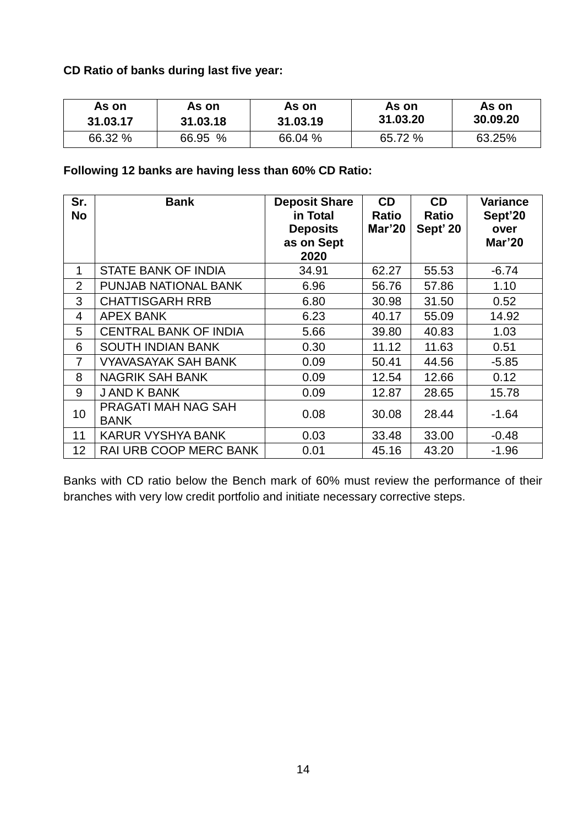### **CD Ratio of banks during last five year:**

| As on    | As on    | As on    | As on    | As on    |
|----------|----------|----------|----------|----------|
| 31.03.17 | 31.03.18 | 31.03.19 | 31.03.20 | 30,09,20 |
| 66.32 %  | 66.95 %  | 66.04 %  | 65.72 %  | 63.25%   |

### **Following 12 banks are having less than 60% CD Ratio:**

| Sr.<br>No      | <b>Bank</b>                        | <b>Deposit Share</b><br>in Total<br><b>Deposits</b><br>as on Sept<br>2020 | <b>CD</b><br><b>Ratio</b><br>Mar'20 | <b>CD</b><br><b>Ratio</b><br>Sept' 20 | Variance<br>Sept'20<br>over<br>Mar'20 |
|----------------|------------------------------------|---------------------------------------------------------------------------|-------------------------------------|---------------------------------------|---------------------------------------|
| $\mathbf 1$    | STATE BANK OF INDIA                | 34.91                                                                     | 62.27                               | 55.53                                 | $-6.74$                               |
| $\overline{2}$ | PUNJAB NATIONAL BANK               | 6.96                                                                      | 56.76                               | 57.86                                 | 1.10                                  |
| 3              | <b>CHATTISGARH RRB</b>             | 6.80                                                                      | 30.98                               | 31.50                                 | 0.52                                  |
| 4              | <b>APEX BANK</b>                   | 6.23                                                                      | 40.17                               | 55.09                                 | 14.92                                 |
| 5              | <b>CENTRAL BANK OF INDIA</b>       | 5.66                                                                      | 39.80                               | 40.83                                 | 1.03                                  |
| 6              | <b>SOUTH INDIAN BANK</b>           | 0.30                                                                      | 11.12                               | 11.63                                 | 0.51                                  |
| $\overline{7}$ | <b>VYAVASAYAK SAH BANK</b>         | 0.09                                                                      | 50.41                               | 44.56                                 | $-5.85$                               |
| 8              | <b>NAGRIK SAH BANK</b>             | 0.09                                                                      | 12.54                               | 12.66                                 | 0.12                                  |
| 9              | <b>JAND K BANK</b>                 | 0.09                                                                      | 12.87                               | 28.65                                 | 15.78                                 |
| 10             | PRAGATI MAH NAG SAH<br><b>BANK</b> | 0.08                                                                      | 30.08                               | 28.44                                 | $-1.64$                               |
| 11             | <b>KARUR VYSHYA BANK</b>           | 0.03                                                                      | 33.48                               | 33.00                                 | $-0.48$                               |
| 12             | <b>RAI URB COOP MERC BANK</b>      | 0.01                                                                      | 45.16                               | 43.20                                 | $-1.96$                               |

Banks with CD ratio below the Bench mark of 60% must review the performance of their branches with very low credit portfolio and initiate necessary corrective steps.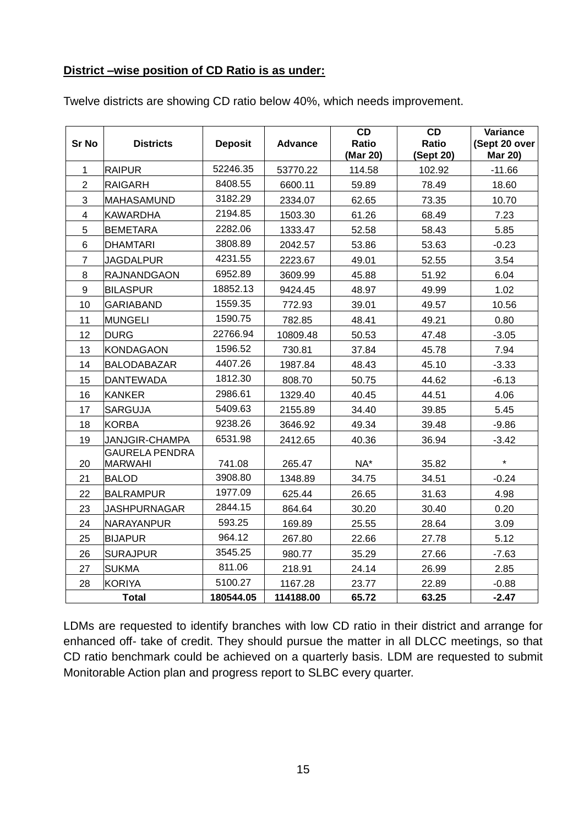#### **District –wise position of CD Ratio is as under:**

| Sr No           | <b>Districts</b>                        | <b>Deposit</b> | <b>Advance</b> | CD<br>Ratio<br>(Mar 20) | CD<br>Ratio<br>(Sept 20) | Variance<br>(Sept 20 over<br><b>Mar 20)</b> |
|-----------------|-----------------------------------------|----------------|----------------|-------------------------|--------------------------|---------------------------------------------|
| 1               | <b>RAIPUR</b>                           | 52246.35       | 53770.22       | 114.58                  | 102.92                   | $-11.66$                                    |
| $\overline{2}$  | <b>RAIGARH</b>                          | 8408.55        | 6600.11        | 59.89                   | 78.49                    | 18.60                                       |
| 3               | MAHASAMUND                              | 3182.29        | 2334.07        | 62.65                   | 73.35                    | 10.70                                       |
| 4               | <b>KAWARDHA</b>                         | 2194.85        | 1503.30        | 61.26                   | 68.49                    | 7.23                                        |
| 5               | <b>BEMETARA</b>                         | 2282.06        | 1333.47        | 52.58                   | 58.43                    | 5.85                                        |
| $6\phantom{1}6$ | <b>DHAMTARI</b>                         | 3808.89        | 2042.57        | 53.86                   | 53.63                    | $-0.23$                                     |
| $\overline{7}$  | <b>JAGDALPUR</b>                        | 4231.55        | 2223.67        | 49.01                   | 52.55                    | 3.54                                        |
| 8               | <b>RAJNANDGAON</b>                      | 6952.89        | 3609.99        | 45.88                   | 51.92                    | 6.04                                        |
| 9               | <b>BILASPUR</b>                         | 18852.13       | 9424.45        | 48.97                   | 49.99                    | 1.02                                        |
| 10              | <b>GARIABAND</b>                        | 1559.35        | 772.93         | 39.01                   | 49.57                    | 10.56                                       |
| 11              | <b>MUNGELI</b>                          | 1590.75        | 782.85         | 48.41                   | 49.21                    | 0.80                                        |
| 12              | <b>DURG</b>                             | 22766.94       | 10809.48       | 50.53                   | 47.48                    | $-3.05$                                     |
| 13              | <b>KONDAGAON</b>                        | 1596.52        | 730.81         | 37.84                   | 45.78                    | 7.94                                        |
| 14              | BALODABAZAR                             | 4407.26        | 1987.84        | 48.43                   | 45.10                    | $-3.33$                                     |
| 15              | <b>DANTEWADA</b>                        | 1812.30        | 808.70         | 50.75                   | 44.62                    | $-6.13$                                     |
| 16              | <b>KANKER</b>                           | 2986.61        | 1329.40        | 40.45                   | 44.51                    | 4.06                                        |
| 17              | <b>SARGUJA</b>                          | 5409.63        | 2155.89        | 34.40                   | 39.85                    | 5.45                                        |
| 18              | <b>KORBA</b>                            | 9238.26        | 3646.92        | 49.34                   | 39.48                    | $-9.86$                                     |
| 19              | <b>JANJGIR-CHAMPA</b>                   | 6531.98        | 2412.65        | 40.36                   | 36.94                    | $-3.42$                                     |
| 20              | <b>GAURELA PENDRA</b><br><b>MARWAHI</b> | 741.08         | 265.47         | NA*                     | 35.82                    | $\star$                                     |
| 21              | <b>BALOD</b>                            | 3908.80        | 1348.89        | 34.75                   | 34.51                    | $-0.24$                                     |
| 22              | <b>BALRAMPUR</b>                        | 1977.09        | 625.44         | 26.65                   | 31.63                    | 4.98                                        |
| 23              | <b>JASHPURNAGAR</b>                     | 2844.15        | 864.64         | 30.20                   | 30.40                    | 0.20                                        |
| 24              | NARAYANPUR                              | 593.25         | 169.89         | 25.55                   | 28.64                    | 3.09                                        |
| 25              | <b>BIJAPUR</b>                          | 964.12         | 267.80         | 22.66                   | 27.78                    | 5.12                                        |
| 26              | <b>SURAJPUR</b>                         | 3545.25        | 980.77         | 35.29                   | 27.66                    | $-7.63$                                     |
| 27              | <b>SUKMA</b>                            | 811.06         | 218.91         | 24.14                   | 26.99                    | 2.85                                        |
| 28              | <b>KORIYA</b>                           | 5100.27        | 1167.28        | 23.77                   | 22.89                    | $-0.88$                                     |
|                 | <b>Total</b>                            | 180544.05      | 114188.00      | 65.72                   | 63.25                    | $-2.47$                                     |

Twelve districts are showing CD ratio below 40%, which needs improvement.

LDMs are requested to identify branches with low CD ratio in their district and arrange for enhanced off- take of credit. They should pursue the matter in all DLCC meetings, so that CD ratio benchmark could be achieved on a quarterly basis. LDM are requested to submit Monitorable Action plan and progress report to SLBC every quarter.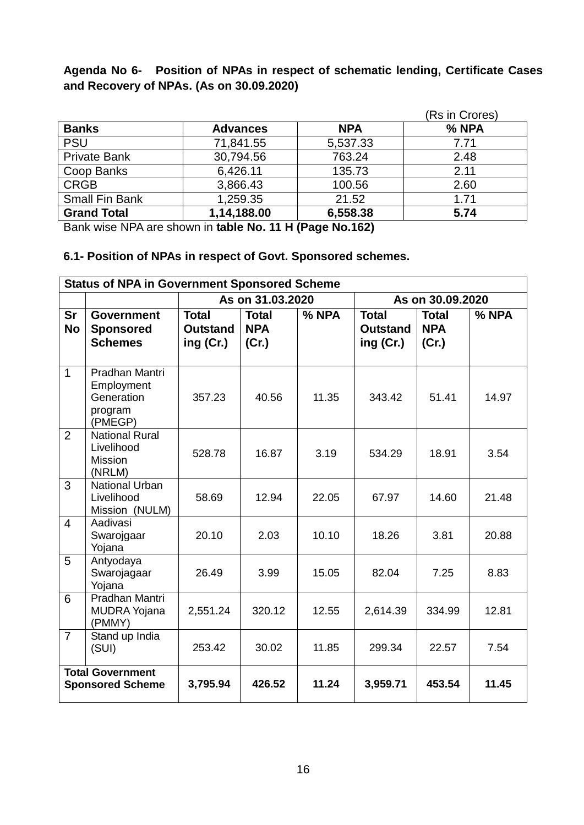**Agenda No 6- Position of NPAs in respect of schematic lending, Certificate Cases and Recovery of NPAs. (As on 30.09.2020)**

|                       |                 |            | (Rs in Crores) |
|-----------------------|-----------------|------------|----------------|
| <b>Banks</b>          | <b>Advances</b> | <b>NPA</b> | % NPA          |
| <b>PSU</b>            | 71,841.55       | 5,537.33   | 7.71           |
| <b>Private Bank</b>   | 30,794.56       | 763.24     | 2.48           |
| Coop Banks            | 6,426.11        | 135.73     | 2.11           |
| <b>CRGB</b>           | 3,866.43        | 100.56     | 2.60           |
| <b>Small Fin Bank</b> | 1,259.35        | 21.52      | 1.71           |
| <b>Grand Total</b>    | 1,14,188.00     | 6,558.38   | 5.74           |

Bank wise NPA are shown in **table No. 11 H (Page No.162)**

### **6.1- Position of NPAs in respect of Govt. Sponsored schemes.**

| <b>Status of NPA in Government Sponsored Scheme</b> |                                                                  |                                                |                                     |       |                                              |                                     |       |  |  |
|-----------------------------------------------------|------------------------------------------------------------------|------------------------------------------------|-------------------------------------|-------|----------------------------------------------|-------------------------------------|-------|--|--|
|                                                     |                                                                  |                                                | As on 31.03.2020                    |       | As on 30.09.2020                             |                                     |       |  |  |
| <b>Sr</b><br><b>No</b>                              | <b>Government</b><br><b>Sponsored</b><br><b>Schemes</b>          | <b>Total</b><br><b>Outstand</b><br>ing $(Cr.)$ | <b>Total</b><br><b>NPA</b><br>(Cr.) | % NPA | <b>Total</b><br><b>Outstand</b><br>ing (Cr.) | <b>Total</b><br><b>NPA</b><br>(Cr.) | % NPA |  |  |
| $\overline{1}$                                      | Pradhan Mantri<br>Employment<br>Generation<br>program<br>(PMEGP) | 357.23                                         | 40.56                               | 11.35 | 343.42                                       | 51.41                               | 14.97 |  |  |
| $\overline{2}$                                      | <b>National Rural</b><br>Livelihood<br><b>Mission</b><br>(NRLM)  | 528.78                                         | 16.87                               | 3.19  | 534.29                                       | 18.91                               | 3.54  |  |  |
| 3                                                   | <b>National Urban</b><br>Livelihood<br>Mission (NULM)            | 58.69                                          | 12.94                               | 22.05 | 67.97                                        | 14.60                               | 21.48 |  |  |
| $\overline{4}$                                      | Aadivasi<br>Swarojgaar<br>Yojana                                 | 20.10                                          | 2.03                                | 10.10 | 18.26                                        | 3.81                                | 20.88 |  |  |
| 5                                                   | Antyodaya<br>Swarojagaar<br>Yojana                               | 26.49                                          | 3.99                                | 15.05 | 82.04                                        | 7.25                                | 8.83  |  |  |
| 6                                                   | Pradhan Mantri<br><b>MUDRA Yojana</b><br>(PMMY)                  | 2,551.24                                       | 320.12                              | 12.55 | 2,614.39                                     | 334.99                              | 12.81 |  |  |
| $\overline{7}$                                      | Stand up India<br>(SUI)                                          | 253.42                                         | 30.02                               | 11.85 | 299.34                                       | 22.57                               | 7.54  |  |  |
| <b>Total Government</b><br><b>Sponsored Scheme</b>  |                                                                  | 3,795.94                                       | 426.52                              | 11.24 | 3,959.71                                     | 453.54                              | 11.45 |  |  |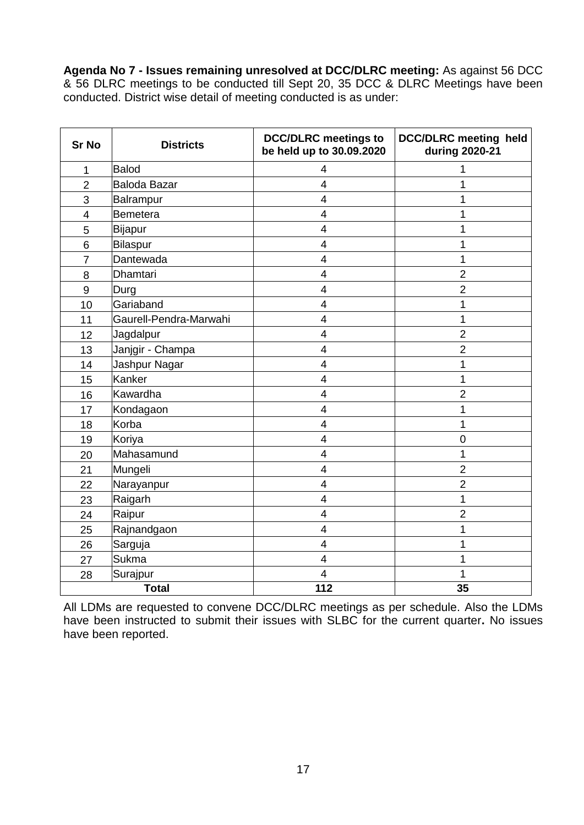**Agenda No 7 - Issues remaining unresolved at DCC/DLRC meeting:** As against 56 DCC & 56 DLRC meetings to be conducted till Sept 20, 35 DCC & DLRC Meetings have been conducted. District wise detail of meeting conducted is as under:

| <b>Sr No</b>   | <b>Districts</b>       | <b>DCC/DLRC</b> meetings to<br>be held up to 30.09.2020 | <b>DCC/DLRC</b> meeting held<br>during 2020-21 |
|----------------|------------------------|---------------------------------------------------------|------------------------------------------------|
| 1              | Balod                  | 4                                                       |                                                |
| $\overline{2}$ | Baloda Bazar           | 4                                                       | 1                                              |
| 3              | Balrampur              | 4                                                       | 1                                              |
| $\overline{4}$ | Bemetera               | $\overline{4}$                                          | 1                                              |
| 5              | Bijapur                | 4                                                       | 1                                              |
| 6              | Bilaspur               | $\overline{\mathbf{4}}$                                 | 1                                              |
| $\overline{7}$ | Dantewada              | 4                                                       | 1                                              |
| 8              | Dhamtari               | $\overline{4}$                                          | $\overline{2}$                                 |
| 9              | Durg                   | 4                                                       | $\overline{2}$                                 |
| 10             | Gariaband              | 4                                                       | 1                                              |
| 11             | Gaurell-Pendra-Marwahi | 4                                                       | 1                                              |
| 12             | Jagdalpur              | $\overline{4}$                                          | $\overline{2}$                                 |
| 13             | Janjgir - Champa       | 4                                                       | $\overline{2}$                                 |
| 14             | Jashpur Nagar          | 4                                                       | 1                                              |
| 15             | Kanker                 | 4                                                       | 1                                              |
| 16             | Kawardha               | 4                                                       | $\overline{2}$                                 |
| 17             | Kondagaon              | $\overline{4}$                                          | 1                                              |
| 18             | Korba                  | 4                                                       | 1                                              |
| 19             | Koriya                 | 4                                                       | $\overline{0}$                                 |
| 20             | Mahasamund             | 4                                                       | 1                                              |
| 21             | Mungeli                | $\overline{4}$                                          | $\overline{2}$                                 |
| 22             | Narayanpur             | 4                                                       | $\overline{2}$                                 |
| 23             | Raigarh                | 4                                                       | 1                                              |
| 24             | Raipur                 | $\overline{\mathbf{4}}$                                 | $\overline{2}$                                 |
| 25             | Rajnandgaon            | $\overline{\mathbf{4}}$                                 | 1                                              |
| 26             | Sarguja                | 4                                                       | 1                                              |
| 27             | <b>Sukma</b>           | 4                                                       | 1                                              |
| 28             | Surajpur               | 4                                                       | 1                                              |
|                | <b>Total</b>           | 112                                                     | 35                                             |

All LDMs are requested to convene DCC/DLRC meetings as per schedule. Also the LDMs have been instructed to submit their issues with SLBC for the current quarter**.** No issues have been reported.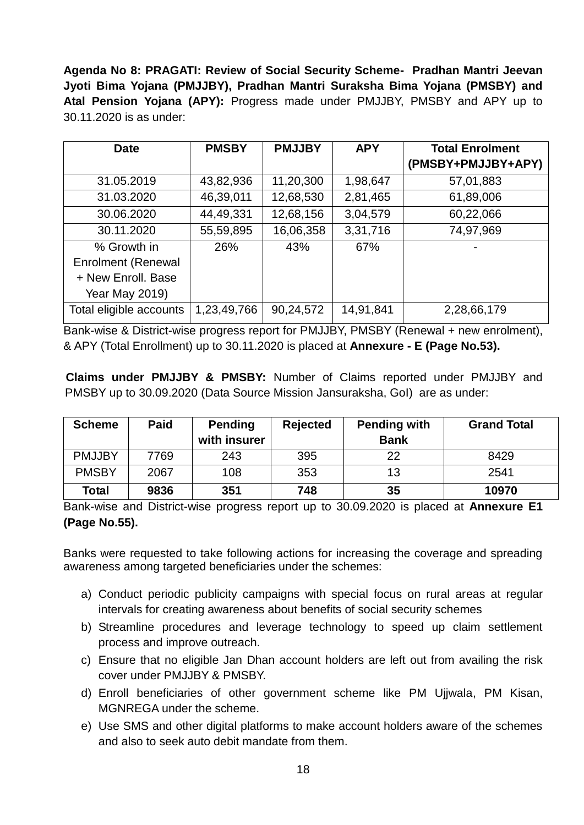**Agenda No 8: PRAGATI: Review of Social Security Scheme- Pradhan Mantri Jeevan Jyoti Bima Yojana (PMJJBY), Pradhan Mantri Suraksha Bima Yojana (PMSBY) and Atal Pension Yojana (APY):** Progress made under PMJJBY, PMSBY and APY up to 30.11.2020 is as under:

| <b>Date</b>               | <b>PMSBY</b> | <b>PMJJBY</b> | <b>APY</b> | <b>Total Enrolment</b> |
|---------------------------|--------------|---------------|------------|------------------------|
|                           |              |               |            | (PMSBY+PMJJBY+APY)     |
| 31.05.2019                | 43,82,936    | 11,20,300     | 1,98,647   | 57,01,883              |
| 31.03.2020                | 46,39,011    | 12,68,530     | 2,81,465   | 61,89,006              |
| 30.06.2020                | 44,49,331    | 12,68,156     | 3,04,579   | 60,22,066              |
| 30.11.2020                | 55,59,895    | 16,06,358     | 3,31,716   | 74,97,969              |
| % Growth in               | 26%          | 43%           | 67%        |                        |
| <b>Enrolment (Renewal</b> |              |               |            |                        |
| + New Enroll, Base        |              |               |            |                        |
| <b>Year May 2019)</b>     |              |               |            |                        |
| Total eligible accounts   | 1,23,49,766  | 90,24,572     | 14,91,841  | 2,28,66,179            |

Bank-wise & District-wise progress report for PMJJBY, PMSBY (Renewal + new enrolment), & APY (Total Enrollment) up to 30.11.2020 is placed at **Annexure - E (Page No.53).**

**Claims under PMJJBY & PMSBY:** Number of Claims reported under PMJJBY and PMSBY up to 30.09.2020 (Data Source Mission Jansuraksha, GoI) are as under:

| <b>Scheme</b> | <b>Paid</b> | <b>Pending</b><br>with insurer | <b>Rejected</b> | <b>Pending with</b><br><b>Bank</b> | <b>Grand Total</b> |
|---------------|-------------|--------------------------------|-----------------|------------------------------------|--------------------|
|               |             |                                |                 |                                    |                    |
| <b>PMJJBY</b> | 7769        | 243                            | 395             | 22                                 | 8429               |
| <b>PMSBY</b>  | 2067        | 108                            | 353             | 13                                 | 2541               |
| Total         | 9836        | 351                            | 748             | 35                                 | 10970              |

Bank-wise and District-wise progress report up to 30.09.2020 is placed at **Annexure E1 (Page No.55).**

Banks were requested to take following actions for increasing the coverage and spreading awareness among targeted beneficiaries under the schemes:

- a) Conduct periodic publicity campaigns with special focus on rural areas at regular intervals for creating awareness about benefits of social security schemes
- b) Streamline procedures and leverage technology to speed up claim settlement process and improve outreach.
- c) Ensure that no eligible Jan Dhan account holders are left out from availing the risk cover under PMJJBY & PMSBY.
- d) Enroll beneficiaries of other government scheme like PM Ujjwala, PM Kisan, MGNREGA under the scheme.
- e) Use SMS and other digital platforms to make account holders aware of the schemes and also to seek auto debit mandate from them.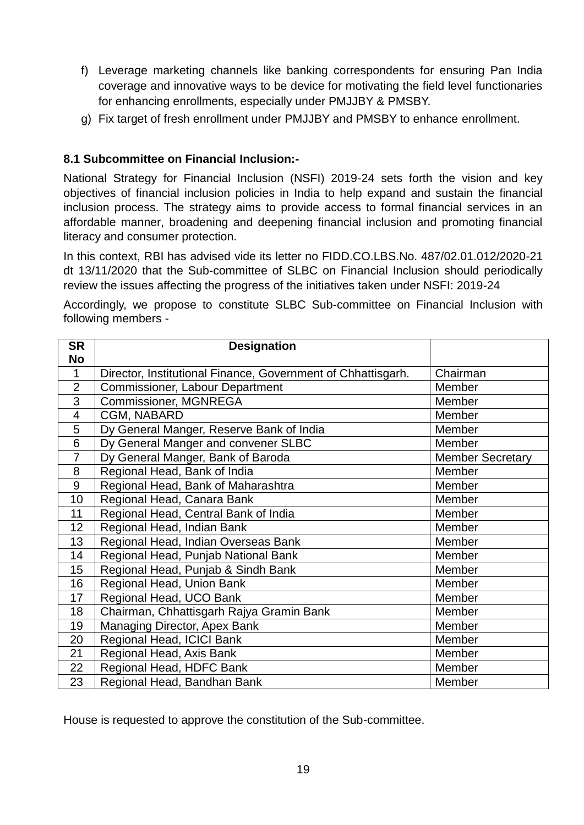- f) Leverage marketing channels like banking correspondents for ensuring Pan India coverage and innovative ways to be device for motivating the field level functionaries for enhancing enrollments, especially under PMJJBY & PMSBY.
- g) Fix target of fresh enrollment under PMJJBY and PMSBY to enhance enrollment.

### **8.1 Subcommittee on Financial Inclusion:-**

National Strategy for Financial Inclusion (NSFI) 2019-24 sets forth the vision and key objectives of financial inclusion policies in India to help expand and sustain the financial inclusion process. The strategy aims to provide access to formal financial services in an affordable manner, broadening and deepening financial inclusion and promoting financial literacy and consumer protection.

In this context, RBI has advised vide its letter no FIDD.CO.LBS.No. 487/02.01.012/2020-21 dt 13/11/2020 that the Sub-committee of SLBC on Financial Inclusion should periodically review the issues affecting the progress of the initiatives taken under NSFI: 2019-24

Accordingly, we propose to constitute SLBC Sub-committee on Financial Inclusion with following members -

| <b>SR</b>      | <b>Designation</b>                                           |                         |
|----------------|--------------------------------------------------------------|-------------------------|
| <b>No</b>      |                                                              |                         |
| $\mathbf 1$    | Director, Institutional Finance, Government of Chhattisgarh. | Chairman                |
| $\overline{2}$ | Commissioner, Labour Department                              | Member                  |
| 3              | Commissioner, MGNREGA                                        | Member                  |
| $\overline{4}$ | CGM, NABARD                                                  | Member                  |
| 5              | Dy General Manger, Reserve Bank of India                     | Member                  |
| 6              | Dy General Manger and convener SLBC                          | Member                  |
| $\overline{7}$ | Dy General Manger, Bank of Baroda                            | <b>Member Secretary</b> |
| 8              | Regional Head, Bank of India                                 | Member                  |
| 9              | Regional Head, Bank of Maharashtra                           | Member                  |
| 10             | Regional Head, Canara Bank                                   | Member                  |
| 11             | Regional Head, Central Bank of India                         | Member                  |
| 12             | Regional Head, Indian Bank                                   | Member                  |
| 13             | Regional Head, Indian Overseas Bank                          | Member                  |
| 14             | Regional Head, Punjab National Bank                          | Member                  |
| 15             | Regional Head, Punjab & Sindh Bank                           | Member                  |
| 16             | Regional Head, Union Bank                                    | Member                  |
| 17             | Regional Head, UCO Bank                                      | Member                  |
| 18             | Chairman, Chhattisgarh Rajya Gramin Bank                     | Member                  |
| 19             | Managing Director, Apex Bank                                 | Member                  |
| 20             | Regional Head, ICICI Bank                                    | Member                  |
| 21             | Regional Head, Axis Bank                                     | Member                  |
| 22             | Regional Head, HDFC Bank                                     | Member                  |
| 23             | Regional Head, Bandhan Bank                                  | Member                  |

House is requested to approve the constitution of the Sub-committee.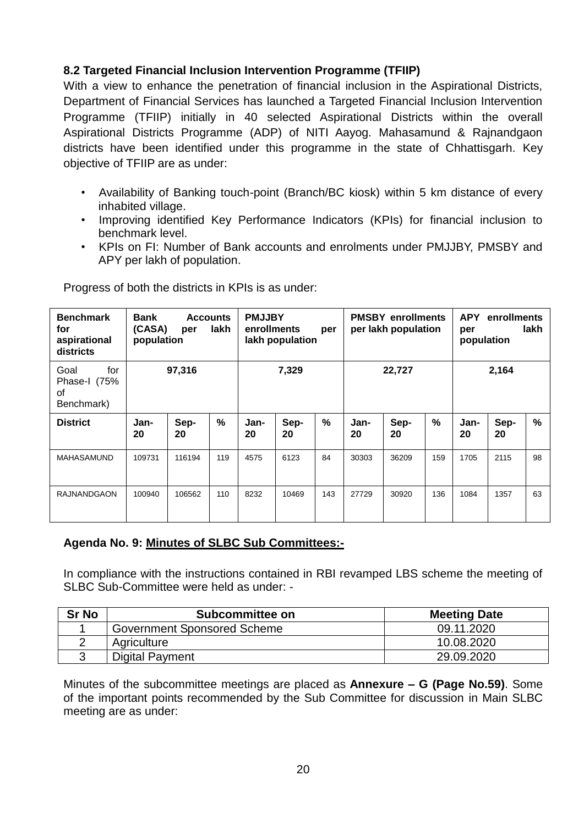### **8.2 Targeted Financial Inclusion Intervention Programme (TFIIP)**

With a view to enhance the penetration of financial inclusion in the Aspirational Districts, Department of Financial Services has launched a Targeted Financial Inclusion Intervention Programme (TFIIP) initially in 40 selected Aspirational Districts within the overall Aspirational Districts Programme (ADP) of NITI Aayog. Mahasamund & Rajnandgaon districts have been identified under this programme in the state of Chhattisgarh. Key objective of TFIIP are as under:

- Availability of Banking touch-point (Branch/BC kiosk) within 5 km distance of every inhabited village.
- Improving identified Key Performance Indicators (KPIs) for financial inclusion to benchmark level.
- KPIs on FI: Number of Bank accounts and enrolments under PMJJBY, PMSBY and APY per lakh of population.

| <b>Benchmark</b><br>for<br>aspirational<br>districts | Bank<br><b>Accounts</b><br>lakh<br>(CASA)<br>per<br>population |            | <b>PMJJBY</b><br>enrollments<br>per<br>lakh population |            | <b>PMSBY enrollments</b><br>per lakh population |               |            | enrollments<br><b>APY</b><br>lakh<br>per<br>population |               |            |            |               |
|------------------------------------------------------|----------------------------------------------------------------|------------|--------------------------------------------------------|------------|-------------------------------------------------|---------------|------------|--------------------------------------------------------|---------------|------------|------------|---------------|
| for<br>Goal<br>Phase-I (75%<br>0f<br>Benchmark)      | 97,316                                                         |            | 7,329                                                  |            | 22,727                                          |               | 2,164      |                                                        |               |            |            |               |
| <b>District</b>                                      | Jan-<br>20                                                     | Sep-<br>20 | $\frac{0}{0}$                                          | Jan-<br>20 | Sep-<br>20                                      | $\frac{0}{0}$ | Jan-<br>20 | Sep-<br>20                                             | $\frac{9}{6}$ | Jan-<br>20 | Sep-<br>20 | $\frac{9}{6}$ |
| <b>MAHASAMUND</b>                                    | 109731                                                         | 116194     | 119                                                    | 4575       | 6123                                            | 84            | 30303      | 36209                                                  | 159           | 1705       | 2115       | 98            |
| <b>RAJNANDGAON</b>                                   | 100940                                                         | 106562     | 110                                                    | 8232       | 10469                                           | 143           | 27729      | 30920                                                  | 136           | 1084       | 1357       | 63            |

Progress of both the districts in KPIs is as under:

### **Agenda No. 9: Minutes of SLBC Sub Committees:-**

In compliance with the instructions contained in RBI revamped LBS scheme the meeting of SLBC Sub-Committee were held as under: -

| <b>Sr No</b> | Subcommittee on                    | <b>Meeting Date</b> |
|--------------|------------------------------------|---------------------|
|              | <b>Government Sponsored Scheme</b> | 09.11.2020          |
|              | Agriculture                        | 10.08.2020          |
|              | <b>Digital Payment</b>             | 29.09.2020          |

Minutes of the subcommittee meetings are placed as **Annexure – G (Page No.59)**. Some of the important points recommended by the Sub Committee for discussion in Main SLBC meeting are as under: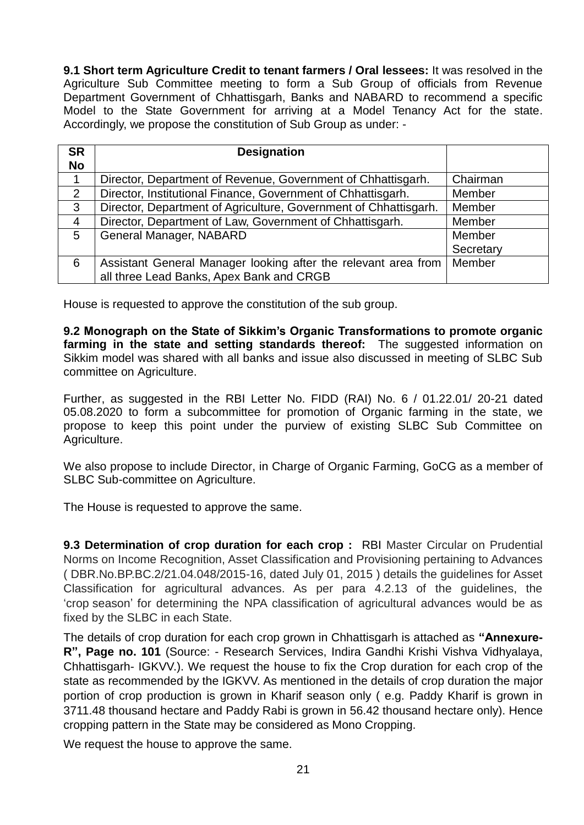**9.1 Short term Agriculture Credit to tenant farmers / Oral lessees:** It was resolved in the Agriculture Sub Committee meeting to form a Sub Group of officials from Revenue Department Government of Chhattisgarh, Banks and NABARD to recommend a specific Model to the State Government for arriving at a Model Tenancy Act for the state. Accordingly, we propose the constitution of Sub Group as under: -

| <b>SR</b><br><b>No</b> | <b>Designation</b>                                                                                         |           |
|------------------------|------------------------------------------------------------------------------------------------------------|-----------|
|                        | Director, Department of Revenue, Government of Chhattisgarh.                                               | Chairman  |
| 2                      | Director, Institutional Finance, Government of Chhattisgarh.                                               | Member    |
| $\mathbf{3}$           | Director, Department of Agriculture, Government of Chhattisgarh.                                           | Member    |
| $\overline{4}$         | Director, Department of Law, Government of Chhattisgarh.                                                   | Member    |
| 5                      | General Manager, NABARD                                                                                    | Member    |
|                        |                                                                                                            | Secretary |
| 6                      | Assistant General Manager looking after the relevant area from<br>all three Lead Banks, Apex Bank and CRGB | Member    |

House is requested to approve the constitution of the sub group.

**9.2 Monograph on the State of Sikkim's Organic Transformations to promote organic farming in the state and setting standards thereof:** The suggested information on Sikkim model was shared with all banks and issue also discussed in meeting of SLBC Sub committee on Agriculture.

Further, as suggested in the RBI Letter No. FIDD (RAI) No. 6 / 01.22.01/ 20-21 dated 05.08.2020 to form a subcommittee for promotion of Organic farming in the state, we propose to keep this point under the purview of existing SLBC Sub Committee on Agriculture.

We also propose to include Director, in Charge of Organic Farming, GoCG as a member of SLBC Sub-committee on Agriculture.

The House is requested to approve the same.

**9.3 Determination of crop duration for each crop : RBI Master Circular on Prudential** Norms on Income Recognition, Asset Classification and Provisioning pertaining to Advances ( DBR.No.BP.BC.2/21.04.048/2015-16, dated July 01, 2015 ) details the guidelines for Asset Classification for agricultural advances. As per para 4.2.13 of the guidelines, the 'crop season' for determining the NPA classification of agricultural advances would be as fixed by the SLBC in each State.

The details of crop duration for each crop grown in Chhattisgarh is attached as **"Annexure-R", Page no. 101** (Source: - Research Services, Indira Gandhi Krishi Vishva Vidhyalaya, Chhattisgarh- IGKVV.). We request the house to fix the Crop duration for each crop of the state as recommended by the IGKVV. As mentioned in the details of crop duration the major portion of crop production is grown in Kharif season only ( e.g. Paddy Kharif is grown in 3711.48 thousand hectare and Paddy Rabi is grown in 56.42 thousand hectare only). Hence cropping pattern in the State may be considered as Mono Cropping.

We request the house to approve the same.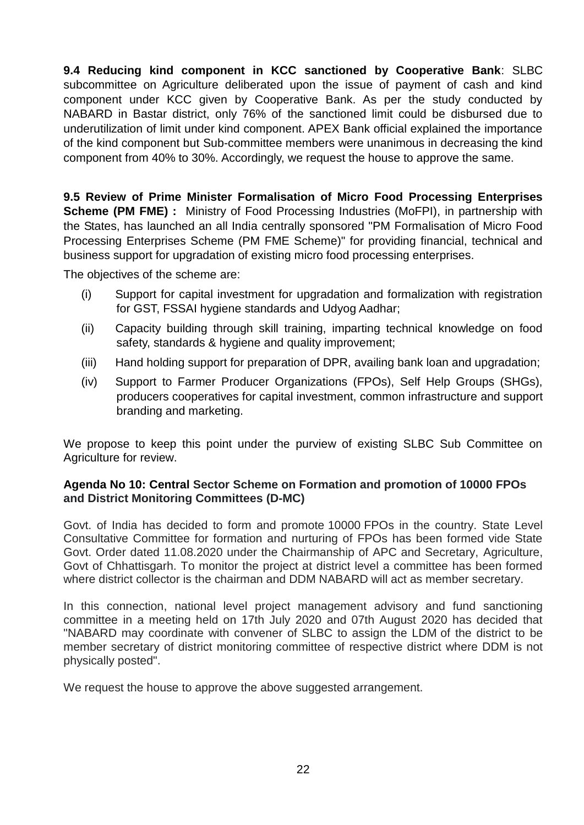**9.4 Reducing kind component in KCC sanctioned by Cooperative Bank**: SLBC subcommittee on Agriculture deliberated upon the issue of payment of cash and kind component under KCC given by Cooperative Bank. As per the study conducted by NABARD in Bastar district, only 76% of the sanctioned limit could be disbursed due to underutilization of limit under kind component. APEX Bank official explained the importance of the kind component but Sub-committee members were unanimous in decreasing the kind component from 40% to 30%. Accordingly, we request the house to approve the same.

**9.5 Review of Prime Minister Formalisation of Micro Food Processing Enterprises Scheme (PM FME) :** Ministry of Food Processing Industries (MoFPI), in partnership with the States, has launched an all India centrally sponsored "PM Formalisation of Micro Food Processing Enterprises Scheme (PM FME Scheme)" for providing financial, technical and business support for upgradation of existing micro food processing enterprises.

The objectives of the scheme are:

- (i) Support for capital investment for upgradation and formalization with registration for GST, FSSAI hygiene standards and Udyog Aadhar;
- (ii) Capacity building through skill training, imparting technical knowledge on food safety, standards & hygiene and quality improvement;
- (iii) Hand holding support for preparation of DPR, availing bank loan and upgradation;
- (iv) Support to Farmer Producer Organizations (FPOs), Self Help Groups (SHGs), producers cooperatives for capital investment, common infrastructure and support branding and marketing.

We propose to keep this point under the purview of existing SLBC Sub Committee on Agriculture for review.

### **Agenda No 10: Central Sector Scheme on Formation and promotion of 10000 FPOs and District Monitoring Committees (D-MC)**

Govt. of India has decided to form and promote 10000 FPOs in the country. State Level Consultative Committee for formation and nurturing of FPOs has been formed vide State Govt. Order dated 11.08.2020 under the Chairmanship of APC and Secretary, Agriculture, Govt of Chhattisgarh. To monitor the project at district level a committee has been formed where district collector is the chairman and DDM NABARD will act as member secretary.

In this connection, national level project management advisory and fund sanctioning committee in a meeting held on 17th July 2020 and 07th August 2020 has decided that "NABARD may coordinate with convener of SLBC to assign the LDM of the district to be member secretary of district monitoring committee of respective district where DDM is not physically posted".

We request the house to approve the above suggested arrangement.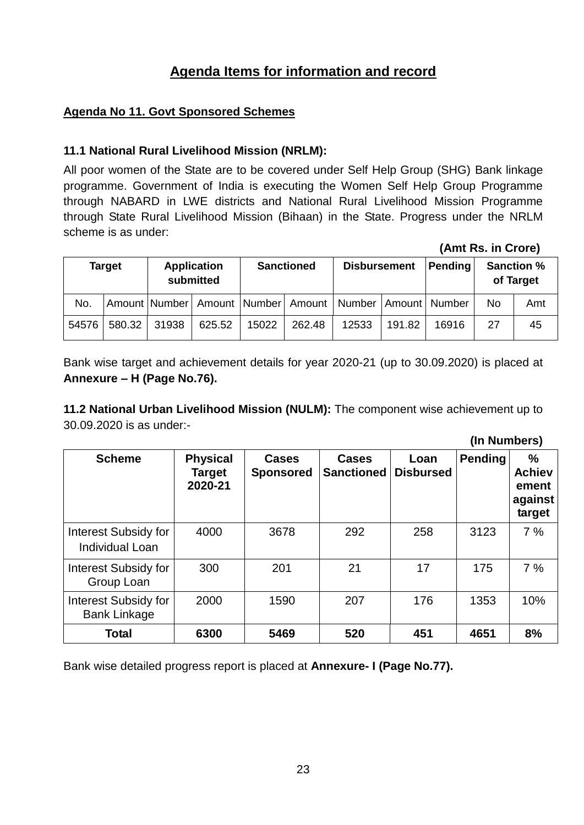## **Agenda Items for information and record**

### **Agenda No 11. Govt Sponsored Schemes**

### **11.1 National Rural Livelihood Mission (NRLM):**

All poor women of the State are to be covered under Self Help Group (SHG) Bank linkage programme. Government of India is executing the Women Self Help Group Programme through NABARD in LWE districts and National Rural Livelihood Mission Programme through State Rural Livelihood Mission (Bihaan) in the State. Progress under the NRLM scheme is as under:

 **(Amt Rs. in Crore) Target Application submitted Sanctioned Disbursement Pending Sanction % of Target** No. Amount Number Amount Number Amount Number Amount Number No Amt 54576 | 580.32 | 31938 | 625.52 | 15022 | 262.48 | 12533 | 191.82 | 16916 | 27 | 45

Bank wise target and achievement details for year 2020-21 (up to 30.09.2020) is placed at **Annexure – H (Page No.76).**

**11.2 National Urban Livelihood Mission (NULM):** The component wise achievement up to 30.09.2020 is as under:-

|                                                       |                                             |                                  |                                   |                          | (In Numbers)   |                                                  |
|-------------------------------------------------------|---------------------------------------------|----------------------------------|-----------------------------------|--------------------------|----------------|--------------------------------------------------|
| <b>Scheme</b>                                         | <b>Physical</b><br><b>Target</b><br>2020-21 | <b>Cases</b><br><b>Sponsored</b> | <b>Cases</b><br><b>Sanctioned</b> | Loan<br><b>Disbursed</b> | <b>Pending</b> | %<br><b>Achiev</b><br>ement<br>against<br>target |
| <b>Interest Subsidy for</b><br><b>Individual Loan</b> | 4000                                        | 3678                             | 292                               | 258                      | 3123           | 7%                                               |
| Interest Subsidy for<br>Group Loan                    | 300                                         | 201                              | 21                                | 17                       | 175            | 7%                                               |
| <b>Interest Subsidy for</b><br><b>Bank Linkage</b>    | 2000                                        | 1590                             | 207                               | 176                      | 1353           | 10%                                              |
| <b>Total</b>                                          | 6300                                        | 5469                             | 520                               | 451                      | 4651           | 8%                                               |

Bank wise detailed progress report is placed at **Annexure- I (Page No.77).**

23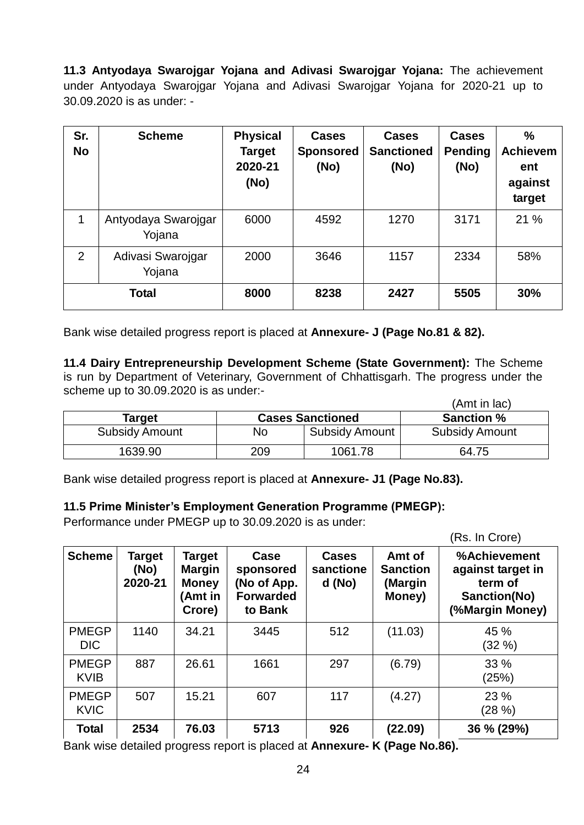**11.3 Antyodaya Swarojgar Yojana and Adivasi Swarojgar Yojana:** The achievement under Antyodaya Swarojgar Yojana and Adivasi Swarojgar Yojana for 2020-21 up to 30.09.2020 is as under: -

| Sr.<br><b>No</b> | <b>Scheme</b>                 | <b>Physical</b><br><b>Target</b><br>2020-21<br>(No) | <b>Cases</b><br><b>Sponsored</b><br>(No) | <b>Cases</b><br><b>Sanctioned</b><br>(No) | <b>Cases</b><br><b>Pending</b><br>(No) | $\frac{0}{0}$<br><b>Achievem</b><br>ent<br>against<br>target |
|------------------|-------------------------------|-----------------------------------------------------|------------------------------------------|-------------------------------------------|----------------------------------------|--------------------------------------------------------------|
| 1                | Antyodaya Swarojgar<br>Yojana | 6000                                                | 4592                                     | 1270                                      | 3171                                   | 21 %                                                         |
| 2                | Adivasi Swarojgar<br>Yojana   | 2000                                                | 3646                                     | 1157                                      | 2334                                   | 58%                                                          |
| Total            |                               | 8000                                                | 8238                                     | 2427                                      | 5505                                   | 30%                                                          |

Bank wise detailed progress report is placed at **Annexure- J (Page No.81 & 82).**

**11.4 Dairy Entrepreneurship Development Scheme (State Government):** The Scheme is run by Department of Veterinary, Government of Chhattisgarh. The progress under the scheme up to 30.09.2020 is as under:-

|                       |     |                         | (Amt in lac)          |
|-----------------------|-----|-------------------------|-----------------------|
| Target                |     | <b>Cases Sanctioned</b> | <b>Sanction %</b>     |
| <b>Subsidy Amount</b> | No  | <b>Subsidy Amount</b>   | <b>Subsidy Amount</b> |
| 1639.90               | 209 | 1061.78                 | 64.75                 |

Bank wise detailed progress report is placed at **Annexure- J1 (Page No.83).**

#### **11.5 Prime Minister's Employment Generation Programme (PMEGP):**

Performance under PMEGP up to 30.09.2020 is as under:

|                             |                                  |                                                                     |                                                                 |                                       |                                                | (Rs. In Crore)                                                                  |
|-----------------------------|----------------------------------|---------------------------------------------------------------------|-----------------------------------------------------------------|---------------------------------------|------------------------------------------------|---------------------------------------------------------------------------------|
| <b>Scheme</b>               | <b>Target</b><br>(No)<br>2020-21 | <b>Target</b><br><b>Margin</b><br><b>Money</b><br>(Amt in<br>Crore) | Case<br>sponsored<br>(No of App.<br><b>Forwarded</b><br>to Bank | <b>Cases</b><br>sanctione<br>$d$ (No) | Amt of<br><b>Sanction</b><br>(Margin<br>Money) | %Achievement<br>against target in<br>term of<br>Sanction(No)<br>(%Margin Money) |
| <b>PMEGP</b><br><b>DIC</b>  | 1140                             | 34.21                                                               | 3445                                                            | 512                                   | (11.03)                                        | 45 %<br>(32%)                                                                   |
| <b>PMEGP</b><br><b>KVIB</b> | 887                              | 26.61                                                               | 1661                                                            | 297                                   | (6.79)                                         | 33 %<br>(25%)                                                                   |
| <b>PMEGP</b><br><b>KVIC</b> | 507                              | 15.21                                                               | 607                                                             | 117                                   | (4.27)                                         | 23 %<br>(28 %)                                                                  |
| <b>Total</b>                | 2534                             | 76.03                                                               | 5713                                                            | 926                                   | (22.09)                                        | 36 % (29%)                                                                      |

Bank wise detailed progress report is placed at **Annexure- K (Page No.86).**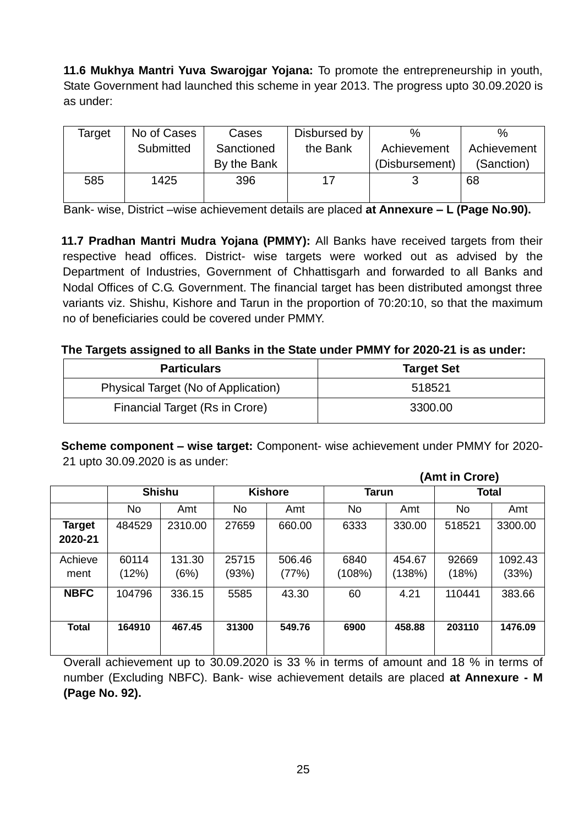**11.6 Mukhya Mantri Yuva Swarojgar Yojana:** To promote the entrepreneurship in youth, State Government had launched this scheme in year 2013. The progress upto 30.09.2020 is as under:

| Target | No of Cases | Cases       | Disbursed by | $\%$           | %           |
|--------|-------------|-------------|--------------|----------------|-------------|
|        | Submitted   | Sanctioned  | the Bank     | Achievement    | Achievement |
|        |             | By the Bank |              | (Disbursement) | (Sanction)  |
| 585    | 1425        | 396         |              |                | 68          |
|        |             |             |              |                |             |

Bank- wise, District –wise achievement details are placed **at Annexure – L (Page No.90).**

**11.7 Pradhan Mantri Mudra Yojana (PMMY):** All Banks have received targets from their respective head offices. District- wise targets were worked out as advised by the Department of Industries, Government of Chhattisgarh and forwarded to all Banks and Nodal Offices of C.G. Government. The financial target has been distributed amongst three variants viz. Shishu, Kishore and Tarun in the proportion of 70:20:10, so that the maximum no of beneficiaries could be covered under PMMY.

#### **The Targets assigned to all Banks in the State under PMMY for 2020-21 is as under:**

| <b>Particulars</b>                  | <b>Target Set</b> |
|-------------------------------------|-------------------|
| Physical Target (No of Application) | 518521            |
| Financial Target (Rs in Crore)      | 3300.00           |

**Scheme component – wise target:** Component- wise achievement under PMMY for 2020- 21 upto 30.09.2020 is as under:

|              |           |               |           |                | (Amt in Crore) |              |        |              |  |
|--------------|-----------|---------------|-----------|----------------|----------------|--------------|--------|--------------|--|
|              |           | <b>Shishu</b> |           | <b>Kishore</b> |                | <b>Tarun</b> |        | <b>Total</b> |  |
|              | <b>No</b> | Amt           | <b>No</b> | Amt            | No             | Amt          | No     | Amt          |  |
| Target       | 484529    | 2310.00       | 27659     | 660.00         | 6333           | 330.00       | 518521 | 3300.00      |  |
| 2020-21      |           |               |           |                |                |              |        |              |  |
| Achieve      | 60114     | 131.30        | 25715     | 506.46         | 6840           | 454.67       | 92669  | 1092.43      |  |
| ment         | (12%)     | (6%)          | (93%)     | (77%)          | (108%)         | (138%)       | (18%)  | (33%)        |  |
| <b>NBFC</b>  | 104796    | 336.15        | 5585      | 43.30          | 60             | 4.21         | 110441 | 383.66       |  |
| <b>Total</b> | 164910    | 467.45        | 31300     | 549.76         | 6900           | 458.88       | 203110 | 1476.09      |  |

Overall achievement up to 30.09.2020 is 33 % in terms of amount and 18 % in terms of number (Excluding NBFC). Bank- wise achievement details are placed **at Annexure - M (Page No. 92).**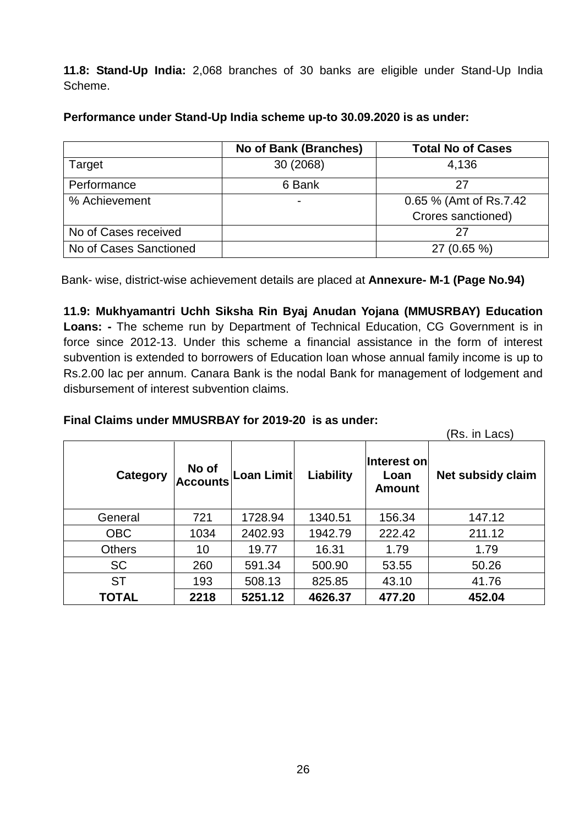**11.8: Stand-Up India:** 2,068 branches of 30 banks are eligible under Stand-Up India Scheme.

|                        | <b>No of Bank (Branches)</b> | <b>Total No of Cases</b> |
|------------------------|------------------------------|--------------------------|
| Target                 | 30 (2068)                    | 4,136                    |
| Performance            | 6 Bank                       | 27                       |
| % Achievement          | ۰                            | 0.65 % (Amt of Rs.7.42)  |
|                        |                              | Crores sanctioned)       |
| No of Cases received   |                              | 27                       |
| No of Cases Sanctioned |                              | 27 (0.65 %)              |

**Performance under Stand-Up India scheme up-to 30.09.2020 is as under:**

Bank- wise, district-wise achievement details are placed at **Annexure- M-1 (Page No.94)**

**11.9: Mukhyamantri Uchh Siksha Rin Byaj Anudan Yojana (MMUSRBAY) Education Loans: -** The scheme run by Department of Technical Education, CG Government is in force since 2012-13. Under this scheme a financial assistance in the form of interest subvention is extended to borrowers of Education loan whose annual family income is up to Rs.2.00 lac per annum. Canara Bank is the nodal Bank for management of lodgement and disbursement of interest subvention claims.

### **Final Claims under MMUSRBAY for 2019-20 is as under:**

(Rs. in Lacs)

| Category      | No of<br><b>Accounts</b> | Loan Limit | Liability | Interest on<br>Loan<br><b>Amount</b> | Net subsidy claim |  |  |
|---------------|--------------------------|------------|-----------|--------------------------------------|-------------------|--|--|
| General       | 721                      | 1728.94    | 1340.51   | 156.34                               | 147.12            |  |  |
| <b>OBC</b>    | 1034                     | 2402.93    | 1942.79   | 222.42                               | 211.12            |  |  |
| <b>Others</b> | 10                       | 19.77      | 16.31     | 1.79                                 | 1.79              |  |  |
| <b>SC</b>     | 260                      | 591.34     | 500.90    | 53.55                                | 50.26             |  |  |
| <b>ST</b>     | 193                      | 508.13     | 825.85    | 43.10                                | 41.76             |  |  |
| <b>TOTAL</b>  | 2218                     | 5251.12    | 4626.37   | 477.20                               | 452.04            |  |  |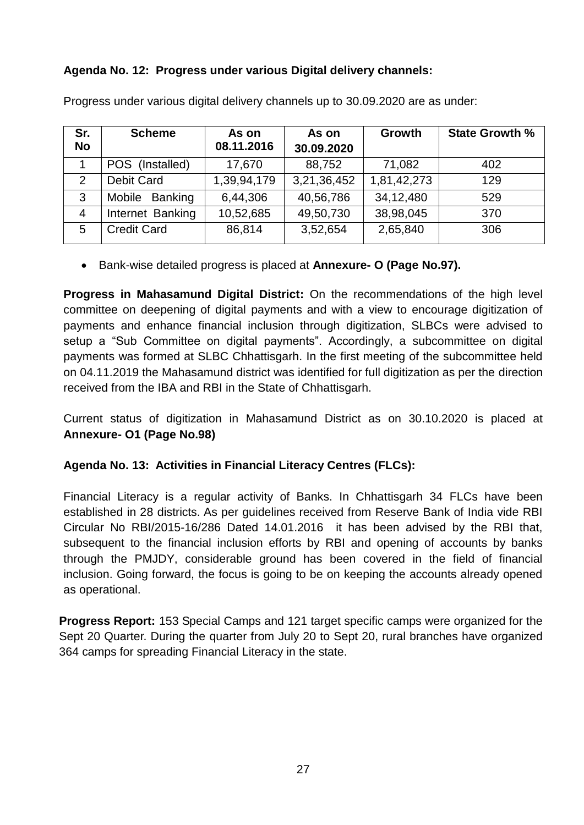### **Agenda No. 12: Progress under various Digital delivery channels:**

| Sr.<br><b>No</b> | <b>Scheme</b>      | As on<br>08.11.2016 | As on<br>30.09.2020 | Growth      | <b>State Growth %</b> |
|------------------|--------------------|---------------------|---------------------|-------------|-----------------------|
|                  | POS (Installed)    | 17,670              | 88,752              | 71,082      | 402                   |
| 2                | <b>Debit Card</b>  | 1,39,94,179         | 3,21,36,452         | 1,81,42,273 | 129                   |
| 3                | Mobile Banking     | 6,44,306            | 40,56,786           | 34,12,480   | 529                   |
| $\overline{4}$   | Internet Banking   | 10,52,685           | 49,50,730           | 38,98,045   | 370                   |
| 5                | <b>Credit Card</b> | 86,814              | 3,52,654            | 2,65,840    | 306                   |

Progress under various digital delivery channels up to 30.09.2020 are as under:

Bank-wise detailed progress is placed at **Annexure- O (Page No.97).**

**Progress in Mahasamund Digital District:** On the recommendations of the high level committee on deepening of digital payments and with a view to encourage digitization of payments and enhance financial inclusion through digitization, SLBCs were advised to setup a "Sub Committee on digital payments". Accordingly, a subcommittee on digital payments was formed at SLBC Chhattisgarh. In the first meeting of the subcommittee held on 04.11.2019 the Mahasamund district was identified for full digitization as per the direction received from the IBA and RBI in the State of Chhattisgarh.

Current status of digitization in Mahasamund District as on 30.10.2020 is placed at **Annexure- O1 (Page No.98)**

### **Agenda No. 13: Activities in Financial Literacy Centres (FLCs):**

Financial Literacy is a regular activity of Banks. In Chhattisgarh 34 FLCs have been established in 28 districts. As per guidelines received from Reserve Bank of India vide RBI Circular No RBI/2015-16/286 Dated 14.01.2016 it has been advised by the RBI that, subsequent to the financial inclusion efforts by RBI and opening of accounts by banks through the PMJDY, considerable ground has been covered in the field of financial inclusion. Going forward, the focus is going to be on keeping the accounts already opened as operational.

**Progress Report:** 153 Special Camps and 121 target specific camps were organized for the Sept 20 Quarter. During the quarter from July 20 to Sept 20, rural branches have organized 364 camps for spreading Financial Literacy in the state.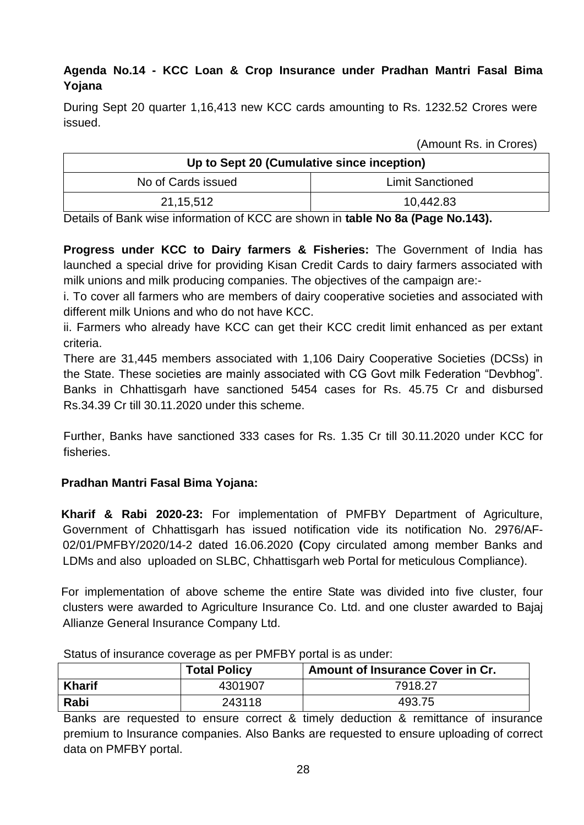### **Agenda No.14 - KCC Loan & Crop Insurance under Pradhan Mantri Fasal Bima Yojana**

During Sept 20 quarter 1,16,413 new KCC cards amounting to Rs. 1232.52 Crores were issued.

(Amount Rs. in Crores)

| Up to Sept 20 (Cumulative since inception) |                         |  |  |  |
|--------------------------------------------|-------------------------|--|--|--|
| No of Cards issued                         | <b>Limit Sanctioned</b> |  |  |  |
| 21,15,512                                  | 10,442.83               |  |  |  |

Details of Bank wise information of KCC are shown in **table No 8a (Page No.143).**

**Progress under KCC to Dairy farmers & Fisheries:** The Government of India has launched a special drive for providing Kisan Credit Cards to dairy farmers associated with milk unions and milk producing companies. The objectives of the campaign are:-

i. To cover all farmers who are members of dairy cooperative societies and associated with different milk Unions and who do not have KCC.

ii. Farmers who already have KCC can get their KCC credit limit enhanced as per extant criteria.

There are 31,445 members associated with 1,106 Dairy Cooperative Societies (DCSs) in the State. These societies are mainly associated with CG Govt milk Federation "Devbhog". Banks in Chhattisgarh have sanctioned 5454 cases for Rs. 45.75 Cr and disbursed Rs.34.39 Cr till 30.11.2020 under this scheme.

Further, Banks have sanctioned 333 cases for Rs. 1.35 Cr till 30.11.2020 under KCC for fisheries.

### **Pradhan Mantri Fasal Bima Yojana:**

**Kharif & Rabi 2020-23:** For implementation of PMFBY Department of Agriculture, Government of Chhattisgarh has issued notification vide its notification No. 2976/AF-02/01/PMFBY/2020/14-2 dated 16.06.2020 **(**Copy circulated among member Banks and LDMs and also uploaded on SLBC, Chhattisgarh web Portal for meticulous Compliance).

For implementation of above scheme the entire State was divided into five cluster, four clusters were awarded to Agriculture Insurance Co. Ltd. and one cluster awarded to Bajaj Allianze General Insurance Company Ltd.

|               | <b>Total Policy</b> | Amount of Insurance Cover in Cr. |
|---------------|---------------------|----------------------------------|
| <b>Kharif</b> | 4301907             | 7918.27                          |
| Rabi          | 243118              | 493.75                           |

Status of insurance coverage as per PMFBY portal is as under:

Banks are requested to ensure correct & timely deduction & remittance of insurance premium to Insurance companies. Also Banks are requested to ensure uploading of correct data on PMFBY portal.